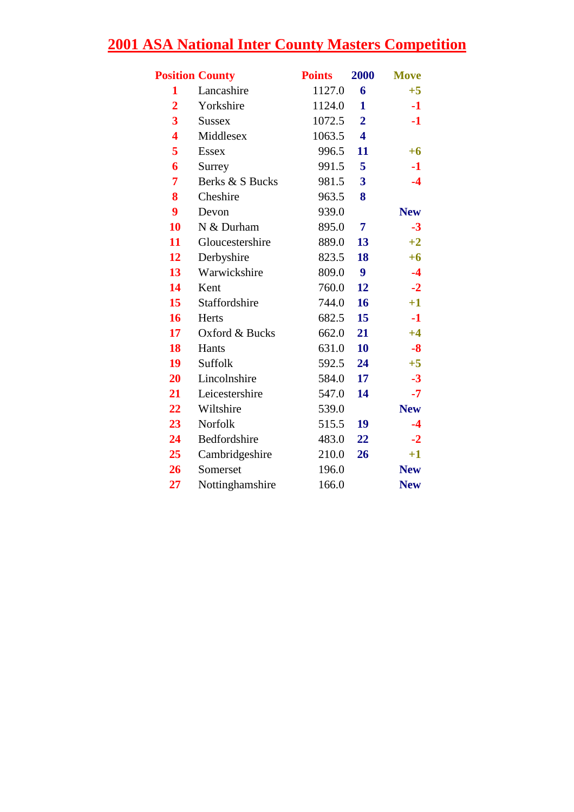| <b>Position County</b>  |                 | <b>Points</b> | 2000                    | <b>Move</b> |
|-------------------------|-----------------|---------------|-------------------------|-------------|
| 1                       | Lancashire      | 1127.0        | 6                       | $+5$        |
| $\overline{2}$          | Yorkshire       | 1124.0        | $\mathbf{1}$            | $-1$        |
| 3                       | <b>Sussex</b>   | 1072.5        | $\overline{2}$          | $-1$        |
| $\overline{\mathbf{4}}$ | Middlesex       | 1063.5        | $\overline{\mathbf{4}}$ |             |
| 5                       | <b>Essex</b>    | 996.5         | 11                      | $+6$        |
| 6                       | Surrey          | 991.5         | 5                       | $-1$        |
| $\overline{7}$          | Berks & S Bucks | 981.5         | 3                       | $-4$        |
| 8                       | Cheshire        | 963.5         | 8                       |             |
| 9                       | Devon           | 939.0         |                         | <b>New</b>  |
| 10                      | N & Durham      | 895.0         | 7                       | $-3$        |
| 11                      | Gloucestershire | 889.0         | 13                      | $+2$        |
| 12                      | Derbyshire      | 823.5         | 18                      | $+6$        |
| 13                      | Warwickshire    | 809.0         | 9                       | $-4$        |
| 14                      | Kent            | 760.0         | 12                      | $-2$        |
| 15                      | Staffordshire   | 744.0         | 16                      | $+1$        |
| 16                      | Herts           | 682.5         | 15                      | $-1$        |
| 17                      | Oxford & Bucks  | 662.0         | 21                      | $+4$        |
| 18                      | Hants           | 631.0         | 10                      | $-8$        |
| 19                      | Suffolk         | 592.5         | 24                      | $+5$        |
| 20                      | Lincolnshire    | 584.0         | 17                      | $-3$        |
| 21                      | Leicestershire  | 547.0         | 14                      | $-7$        |
| 22                      | Wiltshire       | 539.0         |                         | <b>New</b>  |
| 23                      | Norfolk         | 515.5         | 19                      | $-4$        |
| 24                      | Bedfordshire    | 483.0         | 22                      | $-2$        |
| 25                      | Cambridgeshire  | 210.0         | 26                      | $+1$        |
| 26                      | Somerset        | 196.0         |                         | <b>New</b>  |
| 27                      | Nottinghamshire | 166.0         |                         | <b>New</b>  |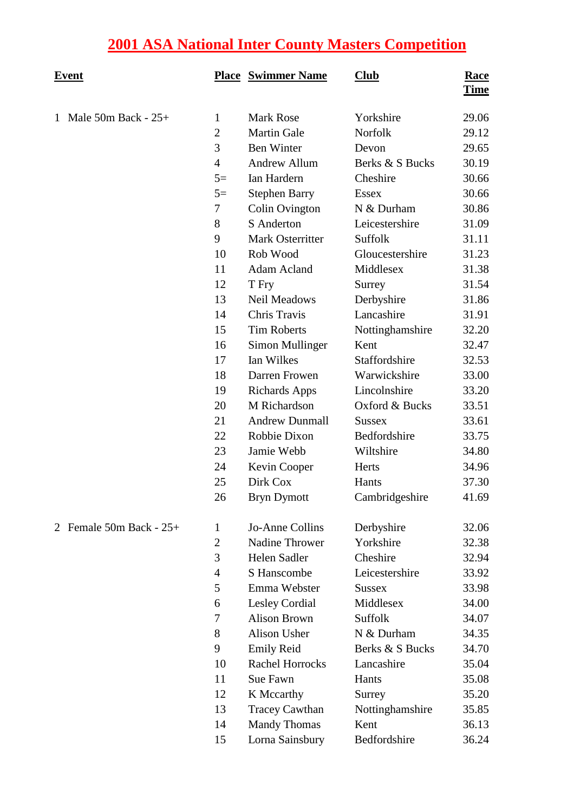| <u>Event</u>              |                | <b>Place Swimmer Name</b> | $\overline{\text{Club}}$ | <u>Race</u><br><b>Time</b> |
|---------------------------|----------------|---------------------------|--------------------------|----------------------------|
| 1 Male 50m Back - $25+$   | $\mathbf{1}$   | <b>Mark Rose</b>          | Yorkshire                | 29.06                      |
|                           | $\mathbf{2}$   | <b>Martin Gale</b>        | Norfolk                  | 29.12                      |
|                           | 3              | <b>Ben Winter</b>         | Devon                    | 29.65                      |
|                           | $\overline{4}$ | <b>Andrew Allum</b>       | Berks & S Bucks          | 30.19                      |
|                           | $5=$           | Ian Hardern               | Cheshire                 | 30.66                      |
|                           | $5=$           | <b>Stephen Barry</b>      | <b>Essex</b>             | 30.66                      |
|                           | 7              | Colin Ovington            | N & Durham               | 30.86                      |
|                           | 8              | S Anderton                | Leicestershire           | 31.09                      |
|                           | 9              | Mark Osterritter          | Suffolk                  | 31.11                      |
|                           | 10             | Rob Wood                  | Gloucestershire          | 31.23                      |
|                           | 11             | <b>Adam Acland</b>        | Middlesex                | 31.38                      |
|                           | 12             | T Fry                     | Surrey                   | 31.54                      |
|                           | 13             | Neil Meadows              | Derbyshire               | 31.86                      |
|                           | 14             | Chris Travis              | Lancashire               | 31.91                      |
|                           | 15             | <b>Tim Roberts</b>        | Nottinghamshire          | 32.20                      |
|                           | 16             | Simon Mullinger           | Kent                     | 32.47                      |
|                           | 17             | Ian Wilkes                | Staffordshire            | 32.53                      |
|                           | 18             | Darren Frowen             | Warwickshire             | 33.00                      |
|                           | 19             | <b>Richards Apps</b>      | Lincolnshire             | 33.20                      |
|                           | 20             | M Richardson              | Oxford & Bucks           | 33.51                      |
|                           | 21             | <b>Andrew Dunmall</b>     | <b>Sussex</b>            | 33.61                      |
|                           | 22             | Robbie Dixon              | Bedfordshire             | 33.75                      |
|                           | 23             | Jamie Webb                | Wiltshire                | 34.80                      |
|                           | 24             | Kevin Cooper              | Herts                    | 34.96                      |
|                           | 25             | Dirk Cox                  | Hants                    | 37.30                      |
|                           | 26             | <b>Bryn Dymott</b>        | Cambridgeshire           | 41.69                      |
| 2 Female 50m Back - $25+$ | $\mathbf{1}$   | Jo-Anne Collins           | Derbyshire               | 32.06                      |
|                           | $\overline{2}$ | Nadine Thrower            | Yorkshire                | 32.38                      |
|                           | 3              | Helen Sadler              | Cheshire                 | 32.94                      |
|                           | 4              | S Hanscombe               | Leicestershire           | 33.92                      |
|                           | 5              | Emma Webster              | <b>Sussex</b>            | 33.98                      |
|                           | 6              | Lesley Cordial            | Middlesex                | 34.00                      |
|                           | 7              | <b>Alison Brown</b>       | Suffolk                  | 34.07                      |
|                           | 8              | Alison Usher              | N & Durham               | 34.35                      |
|                           | 9              | <b>Emily Reid</b>         | Berks & S Bucks          | 34.70                      |
|                           | 10             | <b>Rachel Horrocks</b>    | Lancashire               | 35.04                      |
|                           | 11             | Sue Fawn                  | Hants                    | 35.08                      |
|                           | 12             | K Mccarthy                | Surrey                   | 35.20                      |
|                           | 13             | <b>Tracey Cawthan</b>     | Nottinghamshire          | 35.85                      |
|                           | 14             | <b>Mandy Thomas</b>       | Kent                     | 36.13                      |
|                           | 15             | Lorna Sainsbury           | Bedfordshire             | 36.24                      |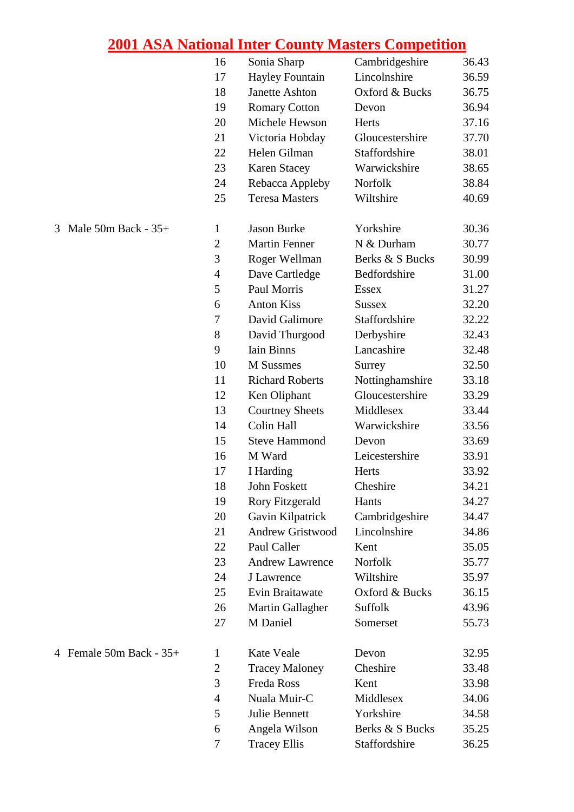|                              | 16             | Sonia Sharp             | Cambridgeshire  | 36.43 |
|------------------------------|----------------|-------------------------|-----------------|-------|
|                              | 17             | <b>Hayley Fountain</b>  | Lincolnshire    | 36.59 |
|                              | 18             | Janette Ashton          | Oxford & Bucks  | 36.75 |
|                              | 19             | <b>Romary Cotton</b>    | Devon           | 36.94 |
|                              | 20             | Michele Hewson          | Herts           | 37.16 |
|                              | 21             | Victoria Hobday         | Gloucestershire | 37.70 |
|                              | 22             | Helen Gilman            | Staffordshire   | 38.01 |
|                              | 23             | <b>Karen Stacey</b>     | Warwickshire    | 38.65 |
|                              | 24             | Rebacca Appleby         | Norfolk         | 38.84 |
|                              | 25             | <b>Teresa Masters</b>   | Wiltshire       | 40.69 |
| Male $50m$ Back - $35+$<br>3 | $\mathbf{1}$   | <b>Jason Burke</b>      | Yorkshire       | 30.36 |
|                              | $\mathbf{2}$   | <b>Martin Fenner</b>    | N & Durham      | 30.77 |
|                              | 3              | Roger Wellman           | Berks & S Bucks | 30.99 |
|                              | $\overline{4}$ | Dave Cartledge          | Bedfordshire    | 31.00 |
|                              | 5              | Paul Morris             | <b>Essex</b>    | 31.27 |
|                              | 6              | <b>Anton Kiss</b>       | <b>Sussex</b>   | 32.20 |
|                              | 7              | David Galimore          | Staffordshire   | 32.22 |
|                              | 8              | David Thurgood          | Derbyshire      | 32.43 |
|                              | 9              | <b>Iain Binns</b>       | Lancashire      | 32.48 |
|                              | 10             | M Sussmes               | Surrey          | 32.50 |
|                              | 11             | <b>Richard Roberts</b>  | Nottinghamshire | 33.18 |
|                              | 12             | Ken Oliphant            | Gloucestershire | 33.29 |
|                              | 13             | <b>Courtney Sheets</b>  | Middlesex       | 33.44 |
|                              | 14             | Colin Hall              | Warwickshire    | 33.56 |
|                              | 15             | <b>Steve Hammond</b>    | Devon           | 33.69 |
|                              | 16             | M Ward                  | Leicestershire  | 33.91 |
|                              | 17             | I Harding               | Herts           | 33.92 |
|                              | 18             | John Foskett            | Cheshire        | 34.21 |
|                              | 19             | <b>Rory Fitzgerald</b>  | Hants           | 34.27 |
|                              | 20             | Gavin Kilpatrick        | Cambridgeshire  | 34.47 |
|                              | 21             | <b>Andrew Gristwood</b> | Lincolnshire    | 34.86 |
|                              | 22             | Paul Caller             | Kent            | 35.05 |
|                              | 23             | <b>Andrew Lawrence</b>  | Norfolk         | 35.77 |
|                              | 24             | J Lawrence              | Wiltshire       | 35.97 |
|                              | 25             | Evin Braitawate         | Oxford & Bucks  | 36.15 |
|                              | 26             | Martin Gallagher        | <b>Suffolk</b>  | 43.96 |
|                              | 27             | M Daniel                | Somerset        | 55.73 |
| 4 Female 50m Back - 35+      | $\mathbf{1}$   | Kate Veale              | Devon           | 32.95 |
|                              | $\overline{2}$ | <b>Tracey Maloney</b>   | Cheshire        | 33.48 |
|                              | 3              | Freda Ross              | Kent            | 33.98 |
|                              | $\overline{4}$ | Nuala Muir-C            | Middlesex       | 34.06 |
|                              | 5              | Julie Bennett           | Yorkshire       | 34.58 |
|                              | 6              | Angela Wilson           | Berks & S Bucks | 35.25 |
|                              | 7              | <b>Tracey Ellis</b>     | Staffordshire   | 36.25 |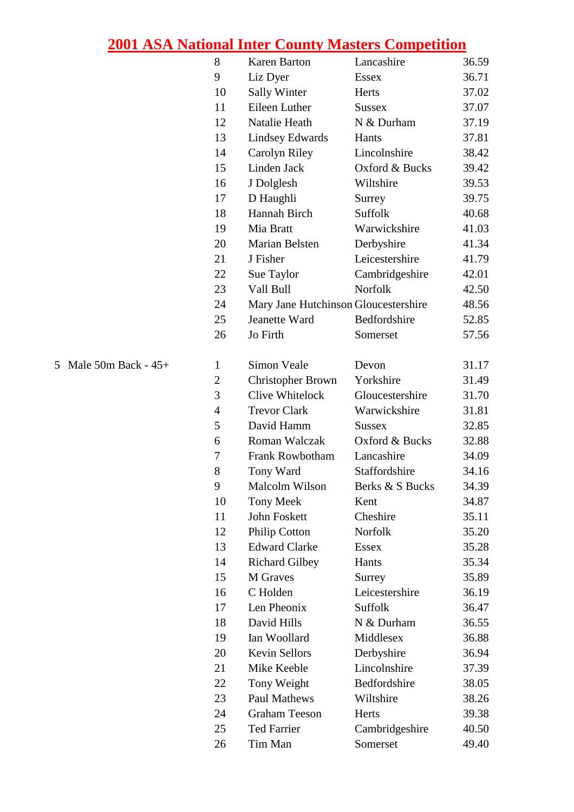|                       | 8                | <b>Karen Barton</b>                  | Lancashire      | 36.59 |
|-----------------------|------------------|--------------------------------------|-----------------|-------|
|                       | 9                | Liz Dyer                             | <b>Essex</b>    | 36.71 |
|                       | 10               | <b>Sally Winter</b>                  | Herts           | 37.02 |
|                       | 11               | Eileen Luther                        | <b>Sussex</b>   | 37.07 |
|                       | 12               | Natalie Heath                        | N & Durham      | 37.19 |
|                       | 13               | <b>Lindsey Edwards</b>               | Hants           | 37.81 |
|                       | 14               | Carolyn Riley                        | Lincolnshire    | 38.42 |
|                       | 15               | Linden Jack                          | Oxford & Bucks  | 39.42 |
|                       | 16               | J Dolglesh                           | Wiltshire       | 39.53 |
|                       | 17               | D Haughli                            | Surrey          | 39.75 |
|                       | 18               | Hannah Birch                         | Suffolk         | 40.68 |
|                       | 19               | Mia Bratt                            | Warwickshire    | 41.03 |
|                       | 20               | Marian Belsten                       | Derbyshire      | 41.34 |
|                       | 21               | J Fisher                             | Leicestershire  | 41.79 |
|                       | 22               | Sue Taylor                           | Cambridgeshire  | 42.01 |
|                       | 23               | Vall Bull                            | Norfolk         | 42.50 |
|                       | 24               | Mary Jane Hutchinson Gloucestershire |                 | 48.56 |
|                       | 25               | Jeanette Ward                        | Bedfordshire    | 52.85 |
|                       | 26               | Jo Firth                             | Somerset        | 57.56 |
|                       |                  |                                      |                 |       |
| 5 Male 50m Back - 45+ | $\mathbf{1}$     | Simon Veale                          | Devon           | 31.17 |
|                       | $\mathbf{2}$     | <b>Christopher Brown</b>             | Yorkshire       | 31.49 |
|                       | 3                | Clive Whitelock                      | Gloucestershire | 31.70 |
|                       | $\overline{4}$   | <b>Trevor Clark</b>                  | Warwickshire    | 31.81 |
|                       | 5                | David Hamm                           | <b>Sussex</b>   | 32.85 |
|                       | 6                | Roman Walczak                        | Oxford & Bucks  | 32.88 |
|                       | $\boldsymbol{7}$ | Frank Rowbotham                      | Lancashire      | 34.09 |
|                       | 8                | Tony Ward                            | Staffordshire   | 34.16 |
|                       | 9                | Malcolm Wilson                       | Berks & S Bucks | 34.39 |
|                       | 10               | <b>Tony Meek</b>                     | Kent            | 34.87 |
|                       | 11               | John Foskett                         | Cheshire        | 35.11 |
|                       | 12               | <b>Philip Cotton</b>                 | Norfolk         | 35.20 |
|                       | 13               | <b>Edward Clarke</b>                 | <b>Essex</b>    | 35.28 |
|                       | 14               | <b>Richard Gilbey</b>                | Hants           | 35.34 |
|                       | 15               | M Graves                             | Surrey          | 35.89 |
|                       | 16               | C Holden                             | Leicestershire  | 36.19 |
|                       | 17               | Len Pheonix                          | Suffolk         | 36.47 |
|                       | 18               | David Hills                          | N & Durham      | 36.55 |
|                       | 19               | Ian Woollard                         | Middlesex       | 36.88 |
|                       | 20               | <b>Kevin Sellors</b>                 | Derbyshire      | 36.94 |
|                       | 21               | Mike Keeble                          | Lincolnshire    | 37.39 |
|                       | 22               | Tony Weight                          | Bedfordshire    | 38.05 |
|                       | 23               | Paul Mathews                         | Wiltshire       | 38.26 |
|                       | 24               | <b>Graham Teeson</b>                 | Herts           | 39.38 |
|                       | 25               | <b>Ted Farrier</b>                   | Cambridgeshire  | 40.50 |
|                       | 26               | Tim Man                              | Somerset        | 49.40 |
|                       |                  |                                      |                 |       |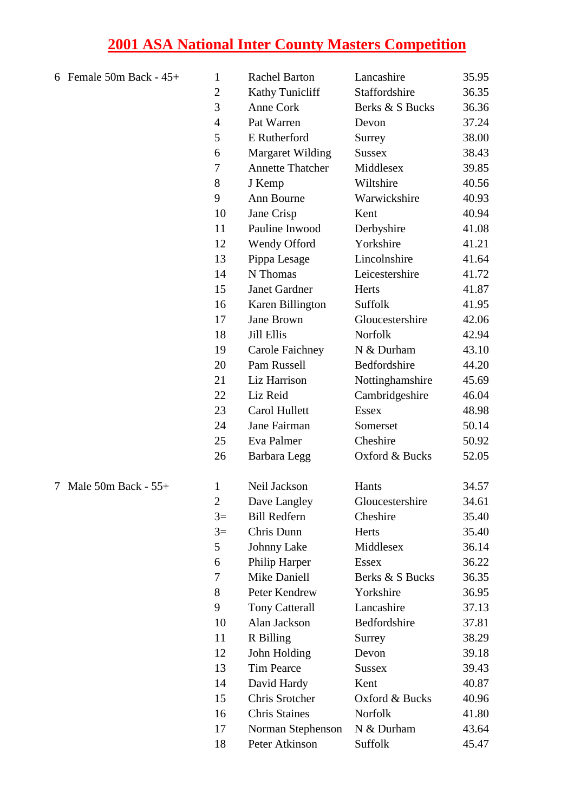| 6 Female 50m Back - $45+$ | 1              | <b>Rachel Barton</b>    | Lancashire      | 35.95 |
|---------------------------|----------------|-------------------------|-----------------|-------|
|                           | $\overline{2}$ | Kathy Tunicliff         | Staffordshire   | 36.35 |
|                           | 3              | Anne Cork               | Berks & S Bucks | 36.36 |
|                           | $\overline{4}$ | Pat Warren              | Devon           | 37.24 |
|                           | 5              | E Rutherford            | Surrey          | 38.00 |
|                           | 6              | <b>Margaret Wilding</b> | <b>Sussex</b>   | 38.43 |
|                           | $\tau$         | <b>Annette Thatcher</b> | Middlesex       | 39.85 |
|                           | 8              | J Kemp                  | Wiltshire       | 40.56 |
|                           | 9              | Ann Bourne              | Warwickshire    | 40.93 |
|                           | 10             | Jane Crisp              | Kent            | 40.94 |
|                           | 11             | Pauline Inwood          | Derbyshire      | 41.08 |
|                           | 12             | Wendy Offord            | Yorkshire       | 41.21 |
|                           | 13             | Pippa Lesage            | Lincolnshire    | 41.64 |
|                           | 14             | N Thomas                | Leicestershire  | 41.72 |
|                           | 15             | <b>Janet Gardner</b>    | Herts           | 41.87 |
|                           | 16             | Karen Billington        | Suffolk         | 41.95 |
|                           | 17             | Jane Brown              | Gloucestershire | 42.06 |
|                           | 18             | <b>Jill Ellis</b>       | <b>Norfolk</b>  | 42.94 |
|                           | 19             | <b>Carole Faichney</b>  | N & Durham      | 43.10 |
|                           | 20             | Pam Russell             | Bedfordshire    | 44.20 |
|                           | 21             | Liz Harrison            | Nottinghamshire | 45.69 |
|                           | 22             | Liz Reid                | Cambridgeshire  | 46.04 |
|                           | 23             | Carol Hullett           | <b>Essex</b>    | 48.98 |
|                           | 24             | Jane Fairman            | Somerset        | 50.14 |
|                           | 25             | Eva Palmer              | Cheshire        | 50.92 |
|                           | 26             | <b>Barbara</b> Legg     | Oxford & Bucks  | 52.05 |
| 7 Male 50m Back - 55+     | $\mathbf{1}$   | Neil Jackson            | Hants           | 34.57 |
|                           | $\mathbf{2}$   | Dave Langley            | Gloucestershire | 34.61 |
|                           | $3=$           | <b>Bill Redfern</b>     | Cheshire        | 35.40 |
|                           | $3=$           | Chris Dunn              | Herts           | 35.40 |
|                           | 5              | <b>Johnny Lake</b>      | Middlesex       | 36.14 |
|                           | 6              | Philip Harper           | <b>Essex</b>    | 36.22 |
|                           | $\tau$         | <b>Mike Daniell</b>     | Berks & S Bucks | 36.35 |
|                           | 8              | Peter Kendrew           | Yorkshire       | 36.95 |
|                           | 9              | <b>Tony Catterall</b>   | Lancashire      | 37.13 |
|                           | 10             | Alan Jackson            | Bedfordshire    | 37.81 |
|                           | 11             | R Billing               | Surrey          | 38.29 |
|                           | 12             | John Holding            | Devon           | 39.18 |
|                           | 13             | <b>Tim Pearce</b>       | <b>Sussex</b>   | 39.43 |
|                           | 14             | David Hardy             | Kent            | 40.87 |
|                           | 15             | Chris Srotcher          | Oxford & Bucks  | 40.96 |
|                           | 16             | <b>Chris Staines</b>    | Norfolk         | 41.80 |
|                           | 17             | Norman Stephenson       | N & Durham      | 43.64 |
|                           | 18             | Peter Atkinson          | Suffolk         | 45.47 |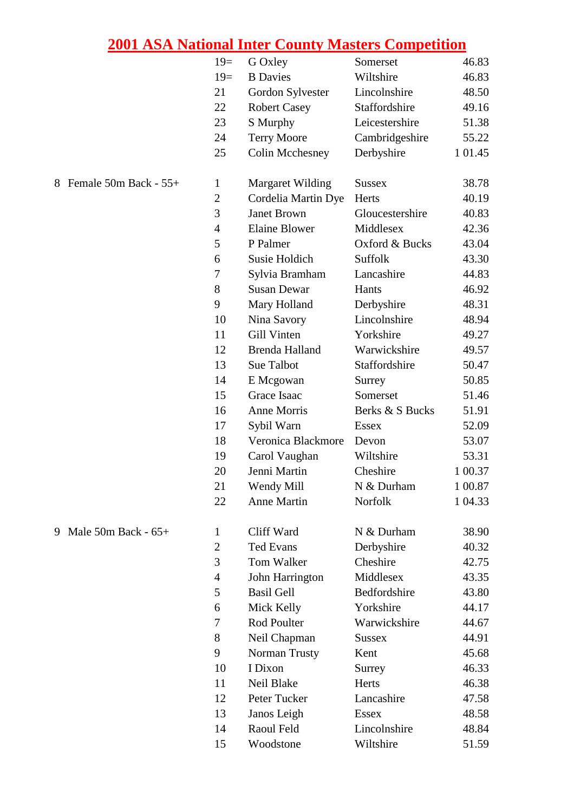|                            | $19=$            | G Oxley                 | Somerset        | 46.83   |
|----------------------------|------------------|-------------------------|-----------------|---------|
|                            | $19=$            | <b>B</b> Davies         | Wiltshire       | 46.83   |
|                            | 21               | Gordon Sylvester        | Lincolnshire    | 48.50   |
|                            | 22               | <b>Robert Casey</b>     | Staffordshire   | 49.16   |
|                            | 23               | S Murphy                | Leicestershire  | 51.38   |
|                            | 24               | <b>Terry Moore</b>      | Cambridgeshire  | 55.22   |
|                            | 25               | <b>Colin Mcchesney</b>  | Derbyshire      | 1 01.45 |
| Female 50m Back - 55+<br>8 | $\mathbf{1}$     | <b>Margaret Wilding</b> | <b>Sussex</b>   | 38.78   |
|                            | $\boldsymbol{2}$ | Cordelia Martin Dye     | Herts           | 40.19   |
|                            | 3                | Janet Brown             | Gloucestershire | 40.83   |
|                            | $\overline{4}$   | <b>Elaine Blower</b>    | Middlesex       | 42.36   |
|                            | 5                | P Palmer                | Oxford & Bucks  | 43.04   |
|                            | 6                | Susie Holdich           | Suffolk         | 43.30   |
|                            | 7                | Sylvia Bramham          | Lancashire      | 44.83   |
|                            | 8                | <b>Susan Dewar</b>      | Hants           | 46.92   |
|                            | 9                | Mary Holland            | Derbyshire      | 48.31   |
|                            | 10               | Nina Savory             | Lincolnshire    | 48.94   |
|                            | 11               | Gill Vinten             | Yorkshire       | 49.27   |
|                            | 12               | <b>Brenda Halland</b>   | Warwickshire    | 49.57   |
|                            | 13               | Sue Talbot              | Staffordshire   | 50.47   |
|                            | 14               | E Mcgowan               | Surrey          | 50.85   |
|                            | 15               | Grace Isaac             | Somerset        | 51.46   |
|                            | 16               | Anne Morris             | Berks & S Bucks | 51.91   |
|                            | 17               | Sybil Warn              | <b>Essex</b>    | 52.09   |
|                            | 18               | Veronica Blackmore      | Devon           | 53.07   |
|                            | 19               | Carol Vaughan           | Wiltshire       | 53.31   |
|                            | 20               | Jenni Martin            | Cheshire        | 1 00.37 |
|                            | 21               | Wendy Mill              | N & Durham      | 1 00.87 |
|                            | 22               | <b>Anne Martin</b>      | Norfolk         | 1 04.33 |
| 9 Male 50m Back - 65+      | 1                | Cliff Ward              | N & Durham      | 38.90   |
|                            | $\mathbf{2}$     | <b>Ted Evans</b>        | Derbyshire      | 40.32   |
|                            | 3                | Tom Walker              | Cheshire        | 42.75   |
|                            | $\overline{4}$   | John Harrington         | Middlesex       | 43.35   |
|                            | 5                | <b>Basil Gell</b>       | Bedfordshire    | 43.80   |
|                            | 6                | Mick Kelly              | Yorkshire       | 44.17   |
|                            | 7                | Rod Poulter             | Warwickshire    | 44.67   |
|                            | 8                | Neil Chapman            | <b>Sussex</b>   | 44.91   |
|                            | 9                | Norman Trusty           | Kent            | 45.68   |
|                            | 10               | I Dixon                 | Surrey          | 46.33   |
|                            | 11               | Neil Blake              | Herts           | 46.38   |
|                            | 12               | Peter Tucker            | Lancashire      | 47.58   |
|                            | 13               | Janos Leigh             | <b>Essex</b>    | 48.58   |
|                            | 14               | Raoul Feld              | Lincolnshire    | 48.84   |
|                            | 15               | Woodstone               | Wiltshire       | 51.59   |
|                            |                  |                         |                 |         |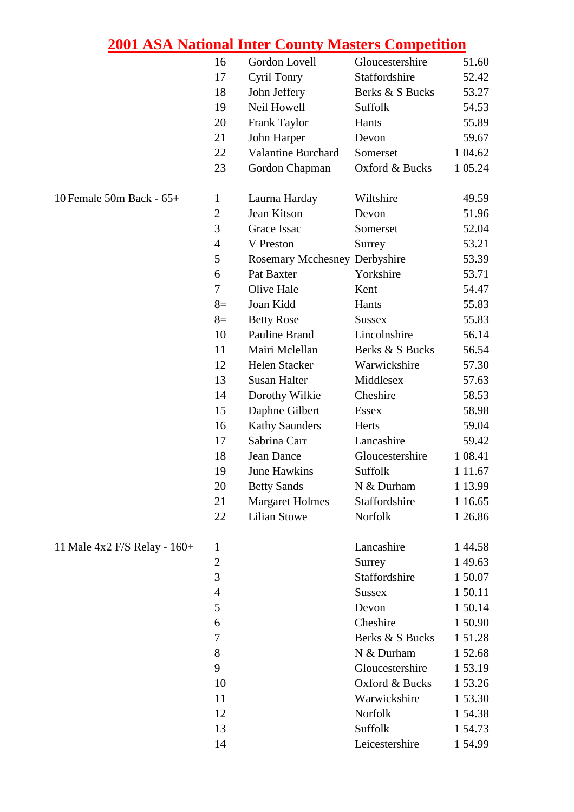|                              | 16             | Gordon Lovell                        | Gloucestershire | 51.60      |
|------------------------------|----------------|--------------------------------------|-----------------|------------|
|                              | 17             | Cyril Tonry                          | Staffordshire   | 52.42      |
|                              | 18             | John Jeffery                         | Berks & S Bucks | 53.27      |
|                              | 19             | Neil Howell                          | Suffolk         | 54.53      |
|                              | 20             | Frank Taylor                         | Hants           | 55.89      |
|                              | 21             | John Harper                          | Devon           | 59.67      |
|                              | 22             | Valantine Burchard                   | Somerset        | 1 04.62    |
|                              | 23             | Gordon Chapman                       | Oxford & Bucks  | 1 05.24    |
| 10 Female 50m Back - 65+     | $\mathbf{1}$   | Laurna Harday                        | Wiltshire       | 49.59      |
|                              | $\overline{2}$ | Jean Kitson                          | Devon           | 51.96      |
|                              | 3              | Grace Issac                          | Somerset        | 52.04      |
|                              | $\overline{4}$ | V Preston                            | Surrey          | 53.21      |
|                              | 5              | <b>Rosemary Mcchesney Derbyshire</b> |                 | 53.39      |
|                              | 6              | Pat Baxter                           | Yorkshire       | 53.71      |
|                              | $\tau$         | Olive Hale                           | Kent            | 54.47      |
|                              | $8=$           | Joan Kidd                            | Hants           | 55.83      |
|                              | $8=$           | <b>Betty Rose</b>                    | <b>Sussex</b>   | 55.83      |
|                              | 10             | Pauline Brand                        | Lincolnshire    | 56.14      |
|                              | 11             | Mairi Mclellan                       | Berks & S Bucks | 56.54      |
|                              | 12             | Helen Stacker                        | Warwickshire    | 57.30      |
|                              | 13             | <b>Susan Halter</b>                  | Middlesex       | 57.63      |
|                              | 14             | Dorothy Wilkie                       | Cheshire        | 58.53      |
|                              | 15             | Daphne Gilbert                       | <b>Essex</b>    | 58.98      |
|                              | 16             | <b>Kathy Saunders</b>                | Herts           | 59.04      |
|                              | 17             | Sabrina Carr                         | Lancashire      | 59.42      |
|                              | 18             | Jean Dance                           | Gloucestershire | 1 08.41    |
|                              | 19             | <b>June Hawkins</b>                  | Suffolk         | 1 1 1 . 67 |
|                              | 20             | <b>Betty Sands</b>                   | N & Durham      | 1 13.99    |
|                              | 21             | <b>Margaret Holmes</b>               | Staffordshire   | 1 16.65    |
|                              | 22             | <b>Lilian Stowe</b>                  | Norfolk         | 1 26.86    |
| 11 Male 4x2 F/S Relay - 160+ | $\mathbf{1}$   |                                      | Lancashire      | 144.58     |
|                              | $\overline{2}$ |                                      | Surrey          | 149.63     |
|                              | 3              |                                      | Staffordshire   | 1 50.07    |
|                              | $\overline{4}$ |                                      | <b>Sussex</b>   | 150.11     |
|                              | 5              |                                      | Devon           | 150.14     |
|                              | 6              |                                      | Cheshire        | 150.90     |
|                              | 7              |                                      | Berks & S Bucks | 151.28     |
|                              | 8              |                                      | N & Durham      | 152.68     |
|                              | 9              |                                      | Gloucestershire | 1 53.19    |
|                              | 10             |                                      | Oxford & Bucks  | 153.26     |
|                              | 11             |                                      | Warwickshire    | 153.30     |
|                              | 12             |                                      | Norfolk         | 154.38     |
|                              | 13             |                                      | Suffolk         | 1 54.73    |
|                              | 14             |                                      | Leicestershire  | 154.99     |

| 11 Male $4x2$ F/S Relay - $160+$ |  |
|----------------------------------|--|
|----------------------------------|--|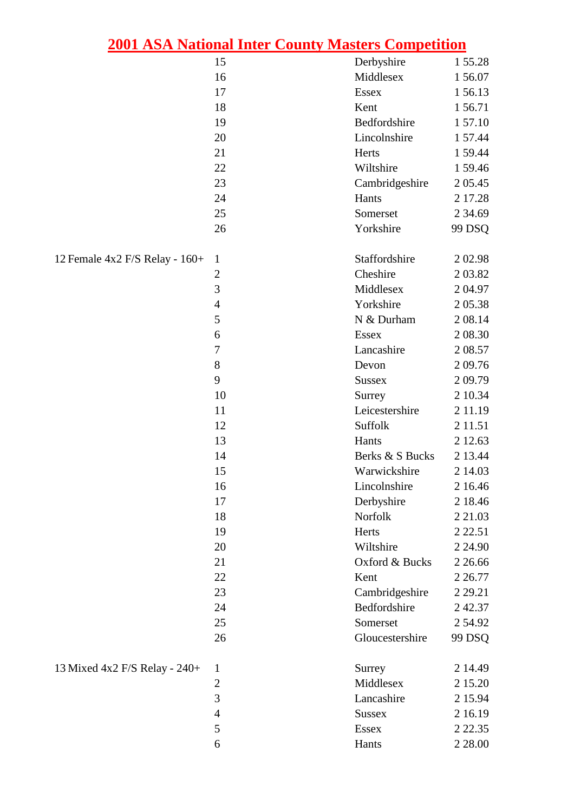|                                |                | <u>2001 ASA National Inter County Masters Competition</u> |             |
|--------------------------------|----------------|-----------------------------------------------------------|-------------|
|                                | 15             | Derbyshire                                                | 155.28      |
|                                | 16             | Middlesex                                                 | 156.07      |
|                                | 17             | Essex                                                     | 156.13      |
|                                | 18             | Kent                                                      | 156.71      |
|                                | 19             | Bedfordshire                                              | 157.10      |
|                                | 20             | Lincolnshire                                              | 1 57.44     |
|                                | 21             | Herts                                                     | 1 59.44     |
|                                | 22             | Wiltshire                                                 | 159.46      |
|                                | 23             | Cambridgeshire                                            | 2 05.45     |
|                                | 24             | Hants                                                     | 2 17.28     |
|                                | 25             | Somerset                                                  | 2 3 4 . 6 9 |
|                                | 26             | Yorkshire                                                 | 99 DSQ      |
| 12 Female 4x2 F/S Relay - 160+ | $\mathbf{1}$   | Staffordshire                                             | 202.98      |
|                                | $\overline{c}$ | Cheshire                                                  | 2 03.82     |
|                                | $\overline{3}$ | Middlesex                                                 | 204.97      |
|                                | $\overline{4}$ | Yorkshire                                                 | 205.38      |
|                                | 5              | N & Durham                                                | 2 08.14     |
|                                | 6              | <b>Essex</b>                                              | 2 08:30     |
|                                | 7              | Lancashire                                                | 2 08.57     |
|                                | 8              | Devon                                                     | 209.76      |
|                                | 9              | <b>Sussex</b>                                             | 209.79      |
|                                | 10             | Surrey                                                    | 2 10.34     |
|                                | 11             | Leicestershire                                            | 2 11.19     |
|                                | 12             | Suffolk                                                   | 2 1 1 . 5 1 |
|                                | 13             | Hants                                                     | 2 12.63     |
|                                | 14             | Berks & S Bucks                                           | 2 13.44     |
|                                | 15             | Warwickshire                                              | 2 14.03     |
|                                | 16             | Lincolnshire                                              | 2 16.46     |
|                                | 17             | Derbyshire                                                | 2 18.46     |
|                                | 18             | Norfolk                                                   | 2 2 1 .0 3  |
|                                | 19             | Herts                                                     | 2 2 2.51    |
|                                | 20             | Wiltshire                                                 | 2 24.90     |
|                                | 21             | Oxford & Bucks                                            | 2 2 6.66    |
|                                | 22             | Kent                                                      | 2 2 6.77    |
|                                | 23             | Cambridgeshire                                            | 2 2 9 . 2 1 |
|                                | 24             | Bedfordshire                                              | 242.37      |
|                                | 25             | Somerset                                                  | 254.92      |
|                                | 26             | Gloucestershire                                           | 99 DSQ      |
| 13 Mixed 4x2 F/S Relay - 240+  | $\mathbf{1}$   | Surrey                                                    | 2 14.49     |
|                                | $\overline{c}$ | Middlesex                                                 | 2 15.20     |
|                                | 3              | Lancashire                                                | 2 15.94     |
|                                | $\overline{4}$ | <b>Sussex</b>                                             | 2 16.19     |
|                                | 5              | <b>Essex</b>                                              | 2 2 2 . 3 5 |
|                                | 6              | Hants                                                     | 2 2 8 .00   |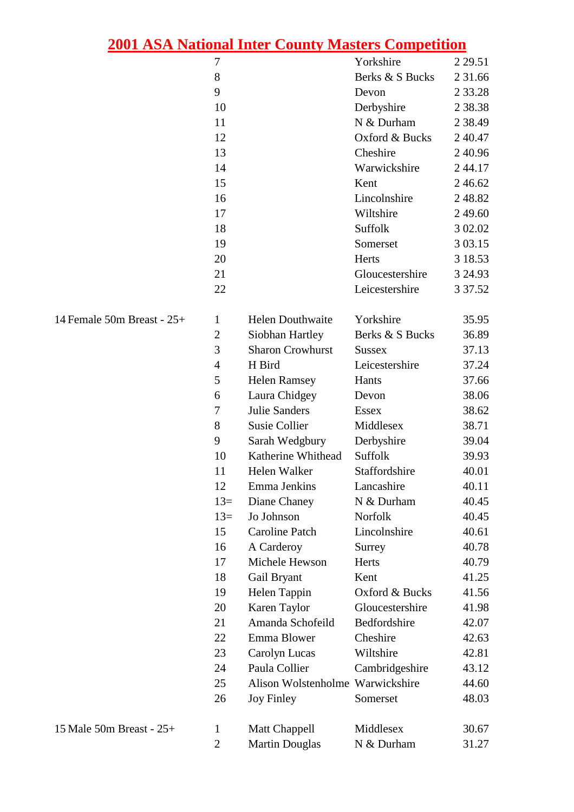|                            | 7              |                            | Yorkshire       | 2 2 9.51    |
|----------------------------|----------------|----------------------------|-----------------|-------------|
|                            | 8              |                            | Berks & S Bucks | 2 31.66     |
|                            | 9              |                            | Devon           | 2 3 3.28    |
|                            | 10             |                            | Derbyshire      | 2 38.38     |
|                            | 11             |                            | N & Durham      | 2 3 8 . 4 9 |
|                            | 12             |                            | Oxford & Bucks  | 2 4 0.47    |
|                            | 13             |                            | Cheshire        | 2 4 0.96    |
|                            | 14             |                            | Warwickshire    | 244.17      |
|                            | 15             |                            | Kent            | 246.62      |
|                            | 16             |                            | Lincolnshire    | 248.82      |
|                            | 17             |                            | Wiltshire       | 2 49.60     |
|                            | 18             |                            | Suffolk         | 3 02.02     |
|                            | 19             |                            | Somerset        | 3 03.15     |
|                            | 20             |                            | Herts           | 3 18.53     |
|                            | 21             |                            | Gloucestershire | 3 24.93     |
|                            | 22             |                            | Leicestershire  | 3 3 7 . 5 2 |
| 14 Female 50m Breast - 25+ | 1              | <b>Helen Douthwaite</b>    | Yorkshire       | 35.95       |
|                            | $\overline{2}$ | Siobhan Hartley            | Berks & S Bucks | 36.89       |
|                            | 3              | <b>Sharon Crowhurst</b>    | <b>Sussex</b>   | 37.13       |
|                            | $\overline{4}$ | H Bird                     | Leicestershire  | 37.24       |
|                            | 5              | <b>Helen Ramsey</b>        | Hants           | 37.66       |
|                            | 6              | Laura Chidgey              | Devon           | 38.06       |
|                            | 7              | <b>Julie Sanders</b>       | <b>Essex</b>    | 38.62       |
|                            | 8              | <b>Susie Collier</b>       | Middlesex       | 38.71       |
|                            | 9              | Sarah Wedgbury             | Derbyshire      | 39.04       |
|                            | 10             | Katherine Whithead Suffolk |                 | 39.93       |
|                            | 11             | Helen Walker               | Staffordshire   | 40.01       |
|                            | 12             | Emma Jenkins               | Lancashire      | 40.11       |
|                            | $13=$          | Diane Chaney               | N & Durham      | 40.45       |
|                            | $13=$          | Jo Johnson                 | Norfolk         | 40.45       |
|                            | 15             | <b>Caroline Patch</b>      | Lincolnshire    | 40.61       |
|                            | 16             | A Carderoy                 | Surrey          | 40.78       |
|                            | 17             | Michele Hewson             | Herts           | 40.79       |
|                            | 18             | Gail Bryant                | Kent            | 41.25       |

19 Helen Tappin Oxford & Bucks 41.56 20 Karen Taylor Gloucestershire 41.98 21 Amanda Schofeild Bedfordshire 42.07 22 Emma Blower Cheshire 42.63 23 Carolyn Lucas Wiltshire 42.81 24 Paula Collier Cambridgeshire 43.12 25 Alison Wolstenholme Warwickshire 44.60 26 Joy Finley Somerset 48.03

15 Male 50m Breast - 25+ 1 Matt Chappell Middlesex 30.67

2 Martin Douglas N & Durham 31.27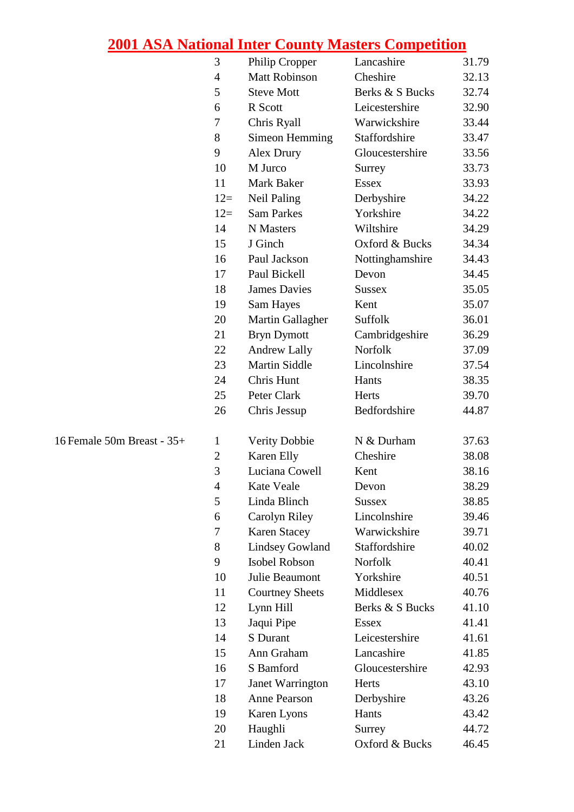|                            | $\mathfrak{Z}$ | Philip Cropper          | Lancashire      | 31.79 |
|----------------------------|----------------|-------------------------|-----------------|-------|
|                            | 4              | <b>Matt Robinson</b>    | Cheshire        | 32.13 |
|                            | 5              | <b>Steve Mott</b>       | Berks & S Bucks | 32.74 |
|                            | 6              | R Scott                 | Leicestershire  | 32.90 |
|                            | 7              | Chris Ryall             | Warwickshire    | 33.44 |
|                            | 8              | <b>Simeon Hemming</b>   | Staffordshire   | 33.47 |
|                            | 9              | Alex Drury              | Gloucestershire | 33.56 |
|                            | 10             | M Jurco                 | Surrey          | 33.73 |
|                            | 11             | Mark Baker              | <b>Essex</b>    | 33.93 |
|                            | $12=$          | <b>Neil Paling</b>      | Derbyshire      | 34.22 |
|                            | $12=$          | <b>Sam Parkes</b>       | Yorkshire       | 34.22 |
|                            | 14             | N Masters               | Wiltshire       | 34.29 |
|                            | 15             | J Ginch                 | Oxford & Bucks  | 34.34 |
|                            | 16             | Paul Jackson            | Nottinghamshire | 34.43 |
|                            | 17             | Paul Bickell            | Devon           | 34.45 |
|                            | 18             | <b>James Davies</b>     | <b>Sussex</b>   | 35.05 |
|                            | 19             | Sam Hayes               | Kent            | 35.07 |
|                            | 20             | Martin Gallagher        | Suffolk         | 36.01 |
|                            | 21             | <b>Bryn Dymott</b>      | Cambridgeshire  | 36.29 |
|                            | 22             | <b>Andrew Lally</b>     | Norfolk         | 37.09 |
|                            | 23             | <b>Martin Siddle</b>    | Lincolnshire    | 37.54 |
|                            | 24             | Chris Hunt              | Hants           | 38.35 |
|                            | 25             | Peter Clark             | Herts           | 39.70 |
|                            | 26             | Chris Jessup            | Bedfordshire    | 44.87 |
| 16 Female 50m Breast - 35+ | 1              | <b>Verity Dobbie</b>    | N & Durham      | 37.63 |
|                            | $\mathbf{2}$   | Karen Elly              | Cheshire        | 38.08 |
|                            | 3              | Luciana Cowell          | Kent            | 38.16 |
|                            | $\overline{4}$ | Kate Veale              | Devon           | 38.29 |
|                            | 5              | Linda Blinch            | <b>Sussex</b>   | 38.85 |
|                            | 6              | Carolyn Riley           | Lincolnshire    | 39.46 |
|                            | 7              | <b>Karen Stacey</b>     | Warwickshire    | 39.71 |
|                            | 8              | <b>Lindsey Gowland</b>  | Staffordshire   | 40.02 |
|                            | 9              | Isobel Robson           | Norfolk         | 40.41 |
|                            | 10             | Julie Beaumont          | Yorkshire       | 40.51 |
|                            | 11             | <b>Courtney Sheets</b>  | Middlesex       | 40.76 |
|                            | 12             | Lynn Hill               | Berks & S Bucks | 41.10 |
|                            | 13             | Jaqui Pipe              | <b>Essex</b>    | 41.41 |
|                            | 14             | S Durant                | Leicestershire  | 41.61 |
|                            | 15             | Ann Graham              | Lancashire      | 41.85 |
|                            | 16             | S Bamford               | Gloucestershire | 42.93 |
|                            | 17             | <b>Janet Warrington</b> | Herts           | 43.10 |
|                            | 18             | <b>Anne Pearson</b>     | Derbyshire      | 43.26 |
|                            | 19             | Karen Lyons             | Hants           | 43.42 |
|                            | 20             | Haughli                 | Surrey          | 44.72 |
|                            | 21             | Linden Jack             | Oxford & Bucks  | 46.45 |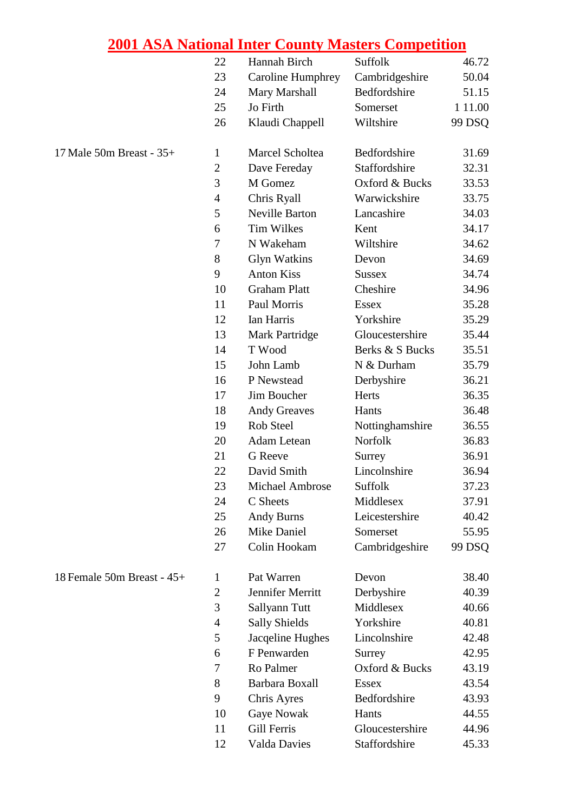|                            | 22             | Hannah Birch             | Suffolk         | 46.72     |
|----------------------------|----------------|--------------------------|-----------------|-----------|
|                            | 23             | <b>Caroline Humphrey</b> | Cambridgeshire  | 50.04     |
|                            | 24             | Mary Marshall            | Bedfordshire    | 51.15     |
|                            | 25             | Jo Firth                 | Somerset        | 1 1 1 .00 |
|                            | 26             | Klaudi Chappell          | Wiltshire       | 99 DSQ    |
| 17 Male 50m Breast - 35+   | $\mathbf{1}$   | Marcel Scholtea          | Bedfordshire    | 31.69     |
|                            | $\overline{2}$ | Dave Fereday             | Staffordshire   | 32.31     |
|                            | 3              | M Gomez                  | Oxford & Bucks  | 33.53     |
|                            | $\overline{4}$ | Chris Ryall              | Warwickshire    | 33.75     |
|                            | 5              | <b>Neville Barton</b>    | Lancashire      | 34.03     |
|                            | 6              | <b>Tim Wilkes</b>        | Kent            | 34.17     |
|                            | 7              | N Wakeham                | Wiltshire       | 34.62     |
|                            | 8              | <b>Glyn Watkins</b>      | Devon           | 34.69     |
|                            | 9              | <b>Anton Kiss</b>        | <b>Sussex</b>   | 34.74     |
|                            | 10             | <b>Graham Platt</b>      | Cheshire        | 34.96     |
|                            | 11             | Paul Morris              | <b>Essex</b>    | 35.28     |
|                            | 12             | Ian Harris               | Yorkshire       | 35.29     |
|                            | 13             | <b>Mark Partridge</b>    | Gloucestershire | 35.44     |
|                            | 14             | T Wood                   | Berks & S Bucks | 35.51     |
|                            | 15             | John Lamb                | N & Durham      | 35.79     |
|                            | 16             | P Newstead               | Derbyshire      | 36.21     |
|                            | 17             | Jim Boucher              | Herts           | 36.35     |
|                            | 18             | <b>Andy Greaves</b>      | Hants           | 36.48     |
|                            | 19             | Rob Steel                | Nottinghamshire | 36.55     |
|                            | 20             | <b>Adam Letean</b>       | Norfolk         | 36.83     |
|                            | 21             | <b>G</b> Reeve           | Surrey          | 36.91     |
|                            | 22             | David Smith              | Lincolnshire    | 36.94     |
|                            | 23             | Michael Ambrose          | Suffolk         | 37.23     |
|                            | 24             | C Sheets                 | Middlesex       | 37.91     |
|                            | 25             | <b>Andy Burns</b>        | Leicestershire  | 40.42     |
|                            | 26             | Mike Daniel              | Somerset        | 55.95     |
|                            | 27             | Colin Hookam             | Cambridgeshire  | 99 DSQ    |
| 18 Female 50m Breast - 45+ | 1              | Pat Warren               | Devon           | 38.40     |
|                            | $\mathfrak{2}$ | Jennifer Merritt         | Derbyshire      | 40.39     |
|                            | 3              | Sallyann Tutt            | Middlesex       | 40.66     |
|                            | $\overline{4}$ | <b>Sally Shields</b>     | Yorkshire       | 40.81     |
|                            | 5              | Jacqeline Hughes         | Lincolnshire    | 42.48     |
|                            | 6              | F Penwarden              | Surrey          | 42.95     |
|                            | 7              | Ro Palmer                | Oxford & Bucks  | 43.19     |
|                            | 8              | Barbara Boxall           | Essex           | 43.54     |
|                            | 9              | Chris Ayres              | Bedfordshire    | 43.93     |
|                            | 10             | <b>Gaye Nowak</b>        | Hants           | 44.55     |
|                            | 11             | Gill Ferris              | Gloucestershire | 44.96     |
|                            | 12             | Valda Davies             | Staffordshire   | 45.33     |
|                            |                |                          |                 |           |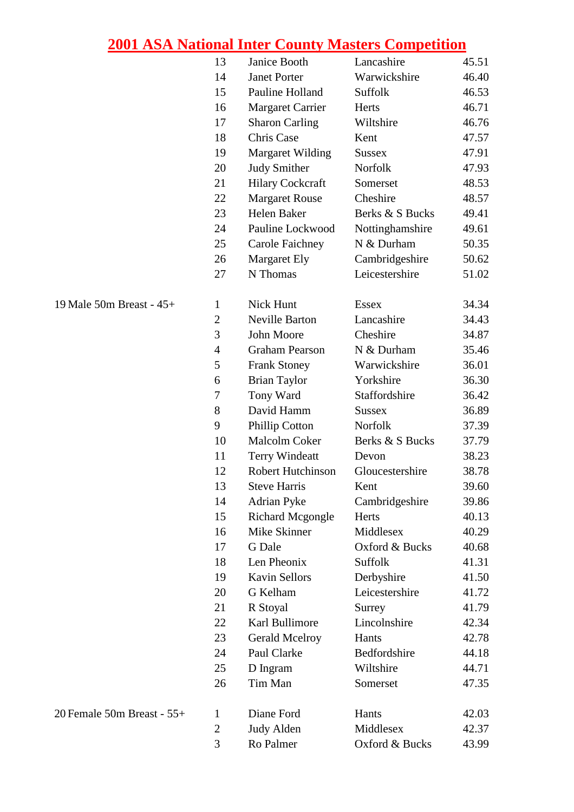| Warwickshire<br><b>Janet Porter</b><br>14<br>15<br>Pauline Holland<br>Suffolk<br><b>Margaret Carrier</b><br>Herts<br>16<br>17<br><b>Sharon Carling</b><br>Wiltshire<br>18<br>Chris Case<br>Kent<br><b>Margaret Wilding</b><br>19<br><b>Sussex</b><br>20<br><b>Judy Smither</b><br>Norfolk<br>21<br><b>Hilary Cockcraft</b><br>Somerset<br><b>Margaret Rouse</b><br>Cheshire<br>22<br>23<br>Helen Baker<br>Berks & S Bucks<br>Pauline Lockwood<br>24<br>Nottinghamshire<br>N & Durham<br>25<br><b>Carole Faichney</b><br>26<br>Cambridgeshire<br><b>Margaret Ely</b><br>Leicestershire<br>27<br>N Thomas<br>Nick Hunt<br>19 Male 50m Breast - 45+<br><b>Essex</b><br>$\mathbf{1}$<br>$\mathbf{2}$<br><b>Neville Barton</b><br>Lancashire<br>3<br>John Moore<br>Cheshire<br>N & Durham<br>$\overline{4}$<br><b>Graham Pearson</b><br>5<br>Warwickshire<br><b>Frank Stoney</b><br>Yorkshire<br>6<br><b>Brian Taylor</b><br>Staffordshire<br>7<br>Tony Ward<br>8<br>David Hamm<br><b>Sussex</b><br>9<br>Norfolk<br><b>Phillip Cotton</b><br>10<br><b>Malcolm Coker</b><br>Berks & S Bucks<br>11<br><b>Terry Windeatt</b><br>Devon<br>Robert Hutchinson<br>Gloucestershire<br>12<br>13<br><b>Steve Harris</b><br>Kent<br>14<br><b>Adrian Pyke</b><br>Cambridgeshire<br>15<br><b>Richard Mcgongle</b><br>Herts<br>Mike Skinner<br>Middlesex<br>16<br>17<br>G Dale<br>Oxford & Bucks<br>Len Pheonix<br>Suffolk<br>18<br>19<br>Kavin Sellors<br>Derbyshire<br>G Kelham<br>Leicestershire<br>20<br>21<br>R Stoyal<br>Surrey<br>Lincolnshire<br>22<br>Karl Bullimore<br>23<br><b>Gerald Mcelroy</b><br>Hants<br>24<br>Paul Clarke<br>Bedfordshire<br>25<br>Wiltshire<br>D Ingram<br>Tim Man<br>26<br>Somerset<br>Diane Ford<br>20 Female 50m Breast - 55+<br>Hants<br>1<br>$\mathbf{2}$<br><b>Judy Alden</b><br>Middlesex |  | 13 | Janice Booth | Lancashire     | 45.51 |
|-----------------------------------------------------------------------------------------------------------------------------------------------------------------------------------------------------------------------------------------------------------------------------------------------------------------------------------------------------------------------------------------------------------------------------------------------------------------------------------------------------------------------------------------------------------------------------------------------------------------------------------------------------------------------------------------------------------------------------------------------------------------------------------------------------------------------------------------------------------------------------------------------------------------------------------------------------------------------------------------------------------------------------------------------------------------------------------------------------------------------------------------------------------------------------------------------------------------------------------------------------------------------------------------------------------------------------------------------------------------------------------------------------------------------------------------------------------------------------------------------------------------------------------------------------------------------------------------------------------------------------------------------------------------------------------------------------------------------------------------------------------------------------------------------------------------|--|----|--------------|----------------|-------|
|                                                                                                                                                                                                                                                                                                                                                                                                                                                                                                                                                                                                                                                                                                                                                                                                                                                                                                                                                                                                                                                                                                                                                                                                                                                                                                                                                                                                                                                                                                                                                                                                                                                                                                                                                                                                                 |  |    |              |                | 46.40 |
|                                                                                                                                                                                                                                                                                                                                                                                                                                                                                                                                                                                                                                                                                                                                                                                                                                                                                                                                                                                                                                                                                                                                                                                                                                                                                                                                                                                                                                                                                                                                                                                                                                                                                                                                                                                                                 |  |    |              |                | 46.53 |
|                                                                                                                                                                                                                                                                                                                                                                                                                                                                                                                                                                                                                                                                                                                                                                                                                                                                                                                                                                                                                                                                                                                                                                                                                                                                                                                                                                                                                                                                                                                                                                                                                                                                                                                                                                                                                 |  |    |              |                | 46.71 |
|                                                                                                                                                                                                                                                                                                                                                                                                                                                                                                                                                                                                                                                                                                                                                                                                                                                                                                                                                                                                                                                                                                                                                                                                                                                                                                                                                                                                                                                                                                                                                                                                                                                                                                                                                                                                                 |  |    |              |                | 46.76 |
|                                                                                                                                                                                                                                                                                                                                                                                                                                                                                                                                                                                                                                                                                                                                                                                                                                                                                                                                                                                                                                                                                                                                                                                                                                                                                                                                                                                                                                                                                                                                                                                                                                                                                                                                                                                                                 |  |    |              |                | 47.57 |
|                                                                                                                                                                                                                                                                                                                                                                                                                                                                                                                                                                                                                                                                                                                                                                                                                                                                                                                                                                                                                                                                                                                                                                                                                                                                                                                                                                                                                                                                                                                                                                                                                                                                                                                                                                                                                 |  |    |              |                | 47.91 |
|                                                                                                                                                                                                                                                                                                                                                                                                                                                                                                                                                                                                                                                                                                                                                                                                                                                                                                                                                                                                                                                                                                                                                                                                                                                                                                                                                                                                                                                                                                                                                                                                                                                                                                                                                                                                                 |  |    |              |                | 47.93 |
|                                                                                                                                                                                                                                                                                                                                                                                                                                                                                                                                                                                                                                                                                                                                                                                                                                                                                                                                                                                                                                                                                                                                                                                                                                                                                                                                                                                                                                                                                                                                                                                                                                                                                                                                                                                                                 |  |    |              |                | 48.53 |
|                                                                                                                                                                                                                                                                                                                                                                                                                                                                                                                                                                                                                                                                                                                                                                                                                                                                                                                                                                                                                                                                                                                                                                                                                                                                                                                                                                                                                                                                                                                                                                                                                                                                                                                                                                                                                 |  |    |              |                | 48.57 |
|                                                                                                                                                                                                                                                                                                                                                                                                                                                                                                                                                                                                                                                                                                                                                                                                                                                                                                                                                                                                                                                                                                                                                                                                                                                                                                                                                                                                                                                                                                                                                                                                                                                                                                                                                                                                                 |  |    |              |                | 49.41 |
|                                                                                                                                                                                                                                                                                                                                                                                                                                                                                                                                                                                                                                                                                                                                                                                                                                                                                                                                                                                                                                                                                                                                                                                                                                                                                                                                                                                                                                                                                                                                                                                                                                                                                                                                                                                                                 |  |    |              |                | 49.61 |
|                                                                                                                                                                                                                                                                                                                                                                                                                                                                                                                                                                                                                                                                                                                                                                                                                                                                                                                                                                                                                                                                                                                                                                                                                                                                                                                                                                                                                                                                                                                                                                                                                                                                                                                                                                                                                 |  |    |              |                | 50.35 |
|                                                                                                                                                                                                                                                                                                                                                                                                                                                                                                                                                                                                                                                                                                                                                                                                                                                                                                                                                                                                                                                                                                                                                                                                                                                                                                                                                                                                                                                                                                                                                                                                                                                                                                                                                                                                                 |  |    |              |                | 50.62 |
|                                                                                                                                                                                                                                                                                                                                                                                                                                                                                                                                                                                                                                                                                                                                                                                                                                                                                                                                                                                                                                                                                                                                                                                                                                                                                                                                                                                                                                                                                                                                                                                                                                                                                                                                                                                                                 |  |    |              |                | 51.02 |
|                                                                                                                                                                                                                                                                                                                                                                                                                                                                                                                                                                                                                                                                                                                                                                                                                                                                                                                                                                                                                                                                                                                                                                                                                                                                                                                                                                                                                                                                                                                                                                                                                                                                                                                                                                                                                 |  |    |              |                | 34.34 |
|                                                                                                                                                                                                                                                                                                                                                                                                                                                                                                                                                                                                                                                                                                                                                                                                                                                                                                                                                                                                                                                                                                                                                                                                                                                                                                                                                                                                                                                                                                                                                                                                                                                                                                                                                                                                                 |  |    |              |                | 34.43 |
|                                                                                                                                                                                                                                                                                                                                                                                                                                                                                                                                                                                                                                                                                                                                                                                                                                                                                                                                                                                                                                                                                                                                                                                                                                                                                                                                                                                                                                                                                                                                                                                                                                                                                                                                                                                                                 |  |    |              |                | 34.87 |
|                                                                                                                                                                                                                                                                                                                                                                                                                                                                                                                                                                                                                                                                                                                                                                                                                                                                                                                                                                                                                                                                                                                                                                                                                                                                                                                                                                                                                                                                                                                                                                                                                                                                                                                                                                                                                 |  |    |              |                | 35.46 |
|                                                                                                                                                                                                                                                                                                                                                                                                                                                                                                                                                                                                                                                                                                                                                                                                                                                                                                                                                                                                                                                                                                                                                                                                                                                                                                                                                                                                                                                                                                                                                                                                                                                                                                                                                                                                                 |  |    |              |                | 36.01 |
|                                                                                                                                                                                                                                                                                                                                                                                                                                                                                                                                                                                                                                                                                                                                                                                                                                                                                                                                                                                                                                                                                                                                                                                                                                                                                                                                                                                                                                                                                                                                                                                                                                                                                                                                                                                                                 |  |    |              |                | 36.30 |
|                                                                                                                                                                                                                                                                                                                                                                                                                                                                                                                                                                                                                                                                                                                                                                                                                                                                                                                                                                                                                                                                                                                                                                                                                                                                                                                                                                                                                                                                                                                                                                                                                                                                                                                                                                                                                 |  |    |              |                | 36.42 |
|                                                                                                                                                                                                                                                                                                                                                                                                                                                                                                                                                                                                                                                                                                                                                                                                                                                                                                                                                                                                                                                                                                                                                                                                                                                                                                                                                                                                                                                                                                                                                                                                                                                                                                                                                                                                                 |  |    |              |                | 36.89 |
|                                                                                                                                                                                                                                                                                                                                                                                                                                                                                                                                                                                                                                                                                                                                                                                                                                                                                                                                                                                                                                                                                                                                                                                                                                                                                                                                                                                                                                                                                                                                                                                                                                                                                                                                                                                                                 |  |    |              |                | 37.39 |
|                                                                                                                                                                                                                                                                                                                                                                                                                                                                                                                                                                                                                                                                                                                                                                                                                                                                                                                                                                                                                                                                                                                                                                                                                                                                                                                                                                                                                                                                                                                                                                                                                                                                                                                                                                                                                 |  |    |              |                | 37.79 |
|                                                                                                                                                                                                                                                                                                                                                                                                                                                                                                                                                                                                                                                                                                                                                                                                                                                                                                                                                                                                                                                                                                                                                                                                                                                                                                                                                                                                                                                                                                                                                                                                                                                                                                                                                                                                                 |  |    |              |                | 38.23 |
|                                                                                                                                                                                                                                                                                                                                                                                                                                                                                                                                                                                                                                                                                                                                                                                                                                                                                                                                                                                                                                                                                                                                                                                                                                                                                                                                                                                                                                                                                                                                                                                                                                                                                                                                                                                                                 |  |    |              |                | 38.78 |
|                                                                                                                                                                                                                                                                                                                                                                                                                                                                                                                                                                                                                                                                                                                                                                                                                                                                                                                                                                                                                                                                                                                                                                                                                                                                                                                                                                                                                                                                                                                                                                                                                                                                                                                                                                                                                 |  |    |              |                | 39.60 |
|                                                                                                                                                                                                                                                                                                                                                                                                                                                                                                                                                                                                                                                                                                                                                                                                                                                                                                                                                                                                                                                                                                                                                                                                                                                                                                                                                                                                                                                                                                                                                                                                                                                                                                                                                                                                                 |  |    |              |                | 39.86 |
|                                                                                                                                                                                                                                                                                                                                                                                                                                                                                                                                                                                                                                                                                                                                                                                                                                                                                                                                                                                                                                                                                                                                                                                                                                                                                                                                                                                                                                                                                                                                                                                                                                                                                                                                                                                                                 |  |    |              |                | 40.13 |
|                                                                                                                                                                                                                                                                                                                                                                                                                                                                                                                                                                                                                                                                                                                                                                                                                                                                                                                                                                                                                                                                                                                                                                                                                                                                                                                                                                                                                                                                                                                                                                                                                                                                                                                                                                                                                 |  |    |              |                | 40.29 |
|                                                                                                                                                                                                                                                                                                                                                                                                                                                                                                                                                                                                                                                                                                                                                                                                                                                                                                                                                                                                                                                                                                                                                                                                                                                                                                                                                                                                                                                                                                                                                                                                                                                                                                                                                                                                                 |  |    |              |                | 40.68 |
|                                                                                                                                                                                                                                                                                                                                                                                                                                                                                                                                                                                                                                                                                                                                                                                                                                                                                                                                                                                                                                                                                                                                                                                                                                                                                                                                                                                                                                                                                                                                                                                                                                                                                                                                                                                                                 |  |    |              |                | 41.31 |
|                                                                                                                                                                                                                                                                                                                                                                                                                                                                                                                                                                                                                                                                                                                                                                                                                                                                                                                                                                                                                                                                                                                                                                                                                                                                                                                                                                                                                                                                                                                                                                                                                                                                                                                                                                                                                 |  |    |              |                | 41.50 |
|                                                                                                                                                                                                                                                                                                                                                                                                                                                                                                                                                                                                                                                                                                                                                                                                                                                                                                                                                                                                                                                                                                                                                                                                                                                                                                                                                                                                                                                                                                                                                                                                                                                                                                                                                                                                                 |  |    |              |                | 41.72 |
|                                                                                                                                                                                                                                                                                                                                                                                                                                                                                                                                                                                                                                                                                                                                                                                                                                                                                                                                                                                                                                                                                                                                                                                                                                                                                                                                                                                                                                                                                                                                                                                                                                                                                                                                                                                                                 |  |    |              |                | 41.79 |
|                                                                                                                                                                                                                                                                                                                                                                                                                                                                                                                                                                                                                                                                                                                                                                                                                                                                                                                                                                                                                                                                                                                                                                                                                                                                                                                                                                                                                                                                                                                                                                                                                                                                                                                                                                                                                 |  |    |              |                | 42.34 |
|                                                                                                                                                                                                                                                                                                                                                                                                                                                                                                                                                                                                                                                                                                                                                                                                                                                                                                                                                                                                                                                                                                                                                                                                                                                                                                                                                                                                                                                                                                                                                                                                                                                                                                                                                                                                                 |  |    |              |                | 42.78 |
|                                                                                                                                                                                                                                                                                                                                                                                                                                                                                                                                                                                                                                                                                                                                                                                                                                                                                                                                                                                                                                                                                                                                                                                                                                                                                                                                                                                                                                                                                                                                                                                                                                                                                                                                                                                                                 |  |    |              |                | 44.18 |
|                                                                                                                                                                                                                                                                                                                                                                                                                                                                                                                                                                                                                                                                                                                                                                                                                                                                                                                                                                                                                                                                                                                                                                                                                                                                                                                                                                                                                                                                                                                                                                                                                                                                                                                                                                                                                 |  |    |              |                | 44.71 |
|                                                                                                                                                                                                                                                                                                                                                                                                                                                                                                                                                                                                                                                                                                                                                                                                                                                                                                                                                                                                                                                                                                                                                                                                                                                                                                                                                                                                                                                                                                                                                                                                                                                                                                                                                                                                                 |  |    |              |                | 47.35 |
|                                                                                                                                                                                                                                                                                                                                                                                                                                                                                                                                                                                                                                                                                                                                                                                                                                                                                                                                                                                                                                                                                                                                                                                                                                                                                                                                                                                                                                                                                                                                                                                                                                                                                                                                                                                                                 |  |    |              |                | 42.03 |
|                                                                                                                                                                                                                                                                                                                                                                                                                                                                                                                                                                                                                                                                                                                                                                                                                                                                                                                                                                                                                                                                                                                                                                                                                                                                                                                                                                                                                                                                                                                                                                                                                                                                                                                                                                                                                 |  |    |              |                | 42.37 |
|                                                                                                                                                                                                                                                                                                                                                                                                                                                                                                                                                                                                                                                                                                                                                                                                                                                                                                                                                                                                                                                                                                                                                                                                                                                                                                                                                                                                                                                                                                                                                                                                                                                                                                                                                                                                                 |  | 3  | Ro Palmer    | Oxford & Bucks | 43.99 |

| $20$ Female 50m Breast - 55+ |  |  |
|------------------------------|--|--|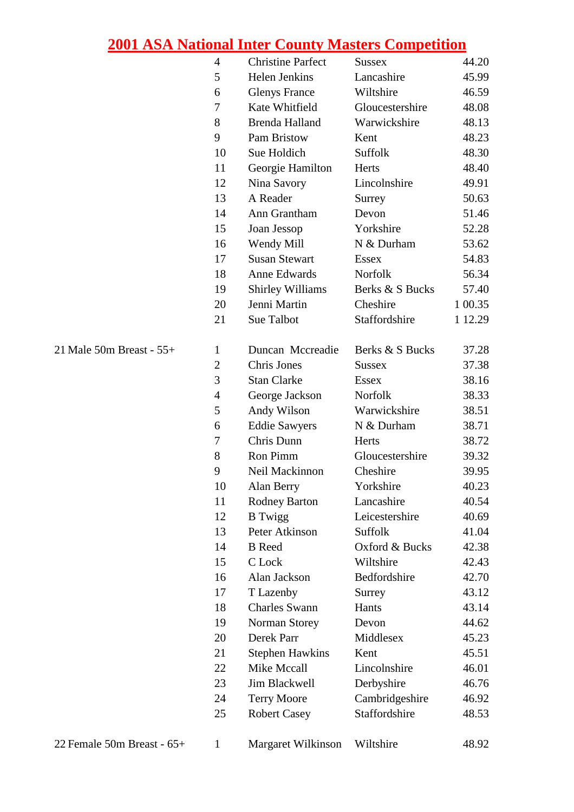|                          | $\overline{4}$ | <b>Christine Parfect</b> | <b>Sussex</b>   | 44.20   |
|--------------------------|----------------|--------------------------|-----------------|---------|
|                          | 5              | Helen Jenkins            | Lancashire      | 45.99   |
|                          | 6              | <b>Glenys France</b>     | Wiltshire       | 46.59   |
|                          | 7              | Kate Whitfield           | Gloucestershire | 48.08   |
|                          | 8              | <b>Brenda Halland</b>    | Warwickshire    | 48.13   |
|                          | 9              | Pam Bristow              | Kent            | 48.23   |
|                          | 10             | Sue Holdich              | Suffolk         | 48.30   |
|                          | 11             | Georgie Hamilton         | Herts           | 48.40   |
|                          | 12             | Nina Savory              | Lincolnshire    | 49.91   |
|                          | 13             | A Reader                 | Surrey          | 50.63   |
|                          | 14             | Ann Grantham             | Devon           | 51.46   |
|                          | 15             | Joan Jessop              | Yorkshire       | 52.28   |
|                          | 16             | Wendy Mill               | N & Durham      | 53.62   |
|                          | 17             | <b>Susan Stewart</b>     | <b>Essex</b>    | 54.83   |
|                          | 18             | Anne Edwards             | Norfolk         | 56.34   |
|                          | 19             | <b>Shirley Williams</b>  | Berks & S Bucks | 57.40   |
|                          | 20             | Jenni Martin             | Cheshire        | 1 00.35 |
|                          | 21             | Sue Talbot               | Staffordshire   | 1 12.29 |
| 21 Male 50m Breast - 55+ | 1              | Duncan Mccreadie         | Berks & S Bucks | 37.28   |
|                          | $\mathbf{2}$   | Chris Jones              | <b>Sussex</b>   | 37.38   |
|                          | 3              | <b>Stan Clarke</b>       | <b>Essex</b>    | 38.16   |
|                          | 4              | George Jackson           | Norfolk         | 38.33   |
|                          | 5              | Andy Wilson              | Warwickshire    | 38.51   |
|                          | 6              | <b>Eddie Sawyers</b>     | N & Durham      | 38.71   |
|                          | 7              | Chris Dunn               | Herts           | 38.72   |
|                          | 8              | Ron Pimm                 | Gloucestershire | 39.32   |
|                          | 9              | Neil Mackinnon           | Cheshire        | 39.95   |
|                          | 10             | Alan Berry               | Yorkshire       | 40.23   |
|                          | 11             | <b>Rodney Barton</b>     | Lancashire      | 40.54   |
|                          | 12             | <b>B</b> Twigg           | Leicestershire  | 40.69   |
|                          | 13             | Peter Atkinson           | Suffolk         | 41.04   |
|                          | 14             | <b>B</b> Reed            | Oxford & Bucks  | 42.38   |
|                          | 15             | C Lock                   | Wiltshire       | 42.43   |
|                          | 16             | Alan Jackson             | Bedfordshire    | 42.70   |
|                          | 17             | T Lazenby                | Surrey          | 43.12   |
|                          | 18             | <b>Charles Swann</b>     | Hants           | 43.14   |
|                          | 19             | Norman Storey            | Devon           | 44.62   |
|                          | 20             | Derek Parr               | Middlesex       | 45.23   |
|                          | 21             | <b>Stephen Hawkins</b>   | Kent            | 45.51   |
|                          | 22             | Mike Mccall              | Lincolnshire    | 46.01   |
|                          | 23             | <b>Jim Blackwell</b>     | Derbyshire      | 46.76   |
|                          | 24             | <b>Terry Moore</b>       | Cambridgeshire  | 46.92   |
|                          | 25             | <b>Robert Casey</b>      | Staffordshire   | 48.53   |
|                          |                |                          |                 |         |

22 Female 50m Breast - 65+ 1 Margaret Wilkinson Wiltshire 48.92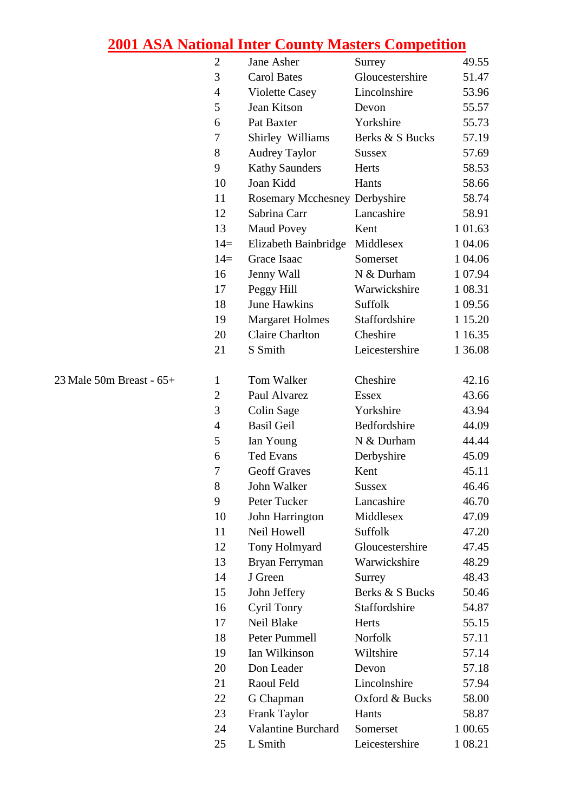|                          | $\mathfrak{2}$ | Jane Asher                    | Surrey          | 49.55    |
|--------------------------|----------------|-------------------------------|-----------------|----------|
|                          | 3              | <b>Carol Bates</b>            | Gloucestershire | 51.47    |
|                          | $\overline{4}$ | <b>Violette Casey</b>         | Lincolnshire    | 53.96    |
|                          | 5              | Jean Kitson                   | Devon           | 55.57    |
|                          | 6              | Pat Baxter                    | Yorkshire       | 55.73    |
|                          | 7              | Shirley Williams              | Berks & S Bucks | 57.19    |
|                          | 8              | <b>Audrey Taylor</b>          | <b>Sussex</b>   | 57.69    |
|                          | 9              | <b>Kathy Saunders</b>         | Herts           | 58.53    |
|                          | 10             | Joan Kidd                     | Hants           | 58.66    |
|                          | 11             | Rosemary Mcchesney Derbyshire |                 | 58.74    |
|                          | 12             | Sabrina Carr                  | Lancashire      | 58.91    |
|                          | 13             | <b>Maud Povey</b>             | Kent            | 1 01.63  |
|                          | $14=$          | Elizabeth Bainbridge          | Middlesex       | 1 04.06  |
|                          | $14=$          | Grace Isaac                   | Somerset        | 1 04.06  |
|                          | 16             | Jenny Wall                    | N & Durham      | 1 07.94  |
|                          | 17             | Peggy Hill                    | Warwickshire    | 1 08.31  |
|                          | 18             | <b>June Hawkins</b>           | Suffolk         | 1 09.56  |
|                          | 19             | <b>Margaret Holmes</b>        | Staffordshire   | 1 15.20  |
|                          | 20             | <b>Claire Charlton</b>        | Cheshire        | 1 1 6.35 |
|                          | 21             | S Smith                       | Leicestershire  | 1 36.08  |
|                          |                |                               |                 |          |
| 23 Male 50m Breast - 65+ | $\mathbf{1}$   | Tom Walker                    | Cheshire        | 42.16    |
|                          | $\overline{2}$ | Paul Alvarez                  | <b>Essex</b>    | 43.66    |
|                          | 3              | Colin Sage                    | Yorkshire       | 43.94    |
|                          | $\overline{4}$ | <b>Basil Geil</b>             | Bedfordshire    | 44.09    |
|                          | 5              | Ian Young                     | N & Durham      | 44.44    |
|                          | 6              | <b>Ted Evans</b>              | Derbyshire      | 45.09    |
|                          | $\overline{7}$ | <b>Geoff Graves</b>           | Kent            | 45.11    |
|                          | 8              | John Walker                   | Sussex          | 46.46    |
|                          | 9              | Peter Tucker                  | Lancashire      | 46.70    |
|                          | 10             | John Harrington               | Middlesex       | 47.09    |
|                          | 11             | Neil Howell                   | Suffolk         | 47.20    |
|                          | 12             | Tony Holmyard                 | Gloucestershire | 47.45    |
|                          | 13             | Bryan Ferryman                | Warwickshire    | 48.29    |
|                          | 14             | J Green                       | Surrey          | 48.43    |
|                          | 15             | John Jeffery                  | Berks & S Bucks | 50.46    |
|                          | 16             | <b>Cyril Tonry</b>            | Staffordshire   | 54.87    |
|                          | 17             | Neil Blake                    | Herts           | 55.15    |
|                          | 18             | Peter Pummell                 | Norfolk         | 57.11    |
|                          | 19             | Ian Wilkinson                 | Wiltshire       | 57.14    |
|                          | 20             | Don Leader                    | Devon           | 57.18    |
|                          | 21             | Raoul Feld                    | Lincolnshire    | 57.94    |
|                          |                |                               | Oxford & Bucks  |          |
|                          | 22             | G Chapman                     |                 | 58.00    |
|                          | 23             | Frank Taylor                  | Hants           | 58.87    |
|                          | 24             | <b>Valantine Burchard</b>     | Somerset        | 1 00.65  |
|                          | 25             | L Smith                       | Leicestershire  | 1 08.21  |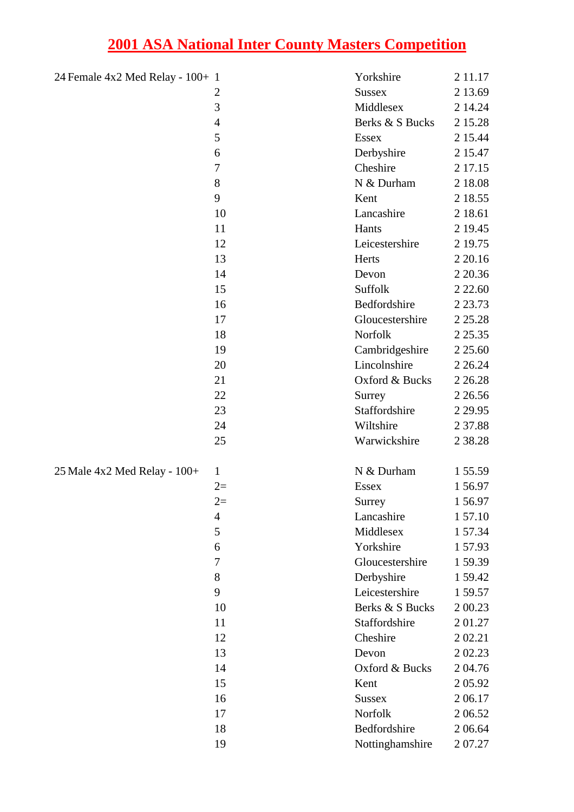| 24 Female 4x2 Med Relay - 100+ 1 |                | Yorkshire       | 2 1 1 . 1 7 |
|----------------------------------|----------------|-----------------|-------------|
|                                  | $\overline{c}$ | <b>Sussex</b>   | 2 13.69     |
|                                  | 3              | Middlesex       | 2 14.24     |
|                                  | $\overline{4}$ | Berks & S Bucks | 2 15.28     |
|                                  | 5              | <b>Essex</b>    | 2 15.44     |
|                                  | 6              | Derbyshire      | 2 15.47     |
|                                  | $\overline{7}$ | Cheshire        | 2 17.15     |
|                                  | 8              | N & Durham      | 2 18.08     |
|                                  | 9              | Kent            | 2 18.55     |
|                                  | 10             | Lancashire      | 2 18.61     |
|                                  | 11             | Hants           | 2 19.45     |
|                                  | 12             | Leicestershire  | 2 19.75     |
|                                  | 13             | Herts           | 2 2 0.16    |
|                                  | 14             | Devon           | 2 2 0.36    |
|                                  | 15             | Suffolk         | 2 2 2 .60   |
|                                  | 16             | Bedfordshire    | 2 2 3.73    |
|                                  | 17             | Gloucestershire | 2 2 5 . 2 8 |
|                                  | 18             | Norfolk         | 2 2 5 . 3 5 |
|                                  | 19             | Cambridgeshire  | 2 2 5 .60   |
|                                  | 20             | Lincolnshire    | 2 2 6.24    |
|                                  | 21             | Oxford & Bucks  | 2 2 6.28    |
|                                  | 22             | Surrey          | 2 2 6.56    |
|                                  | 23             | Staffordshire   | 2 2 9.95    |
|                                  | 24             | Wiltshire       | 2 37.88     |
|                                  | 25             | Warwickshire    | 2 38.28     |
| 25 Male 4x2 Med Relay - 100+     | $\mathbf{1}$   | N & Durham      | 1 55.59     |
|                                  | $2=$           | <b>Essex</b>    | 1 5 6.97    |
|                                  | $2=$           | Surrey          | 156.97      |
|                                  | 4              | Lancashire      | 1 57.10     |
|                                  | 5              | Middlesex       | 157.34      |
|                                  | 6              | Yorkshire       | 157.93      |
|                                  | 7              | Gloucestershire | 159.39      |
|                                  | 8              | Derbyshire      | 159.42      |
|                                  | 9              | Leicestershire  | 1 59.57     |
|                                  | 10             | Berks & S Bucks | 2 00.23     |
|                                  | 11             | Staffordshire   | 201.27      |
|                                  | 12             | Cheshire        | 2 02.21     |
|                                  | 13             | Devon           | 2 02.23     |
|                                  | 14             | Oxford & Bucks  | 204.76      |
|                                  | 15             | Kent            | 2 05.92     |
|                                  | 16             | <b>Sussex</b>   | 2 06.17     |
|                                  | 17             | Norfolk         | 2 06.52     |
|                                  | 18             | Bedfordshire    | 2 06.64     |
|                                  | 19             | Nottinghamshire | 2 07.27     |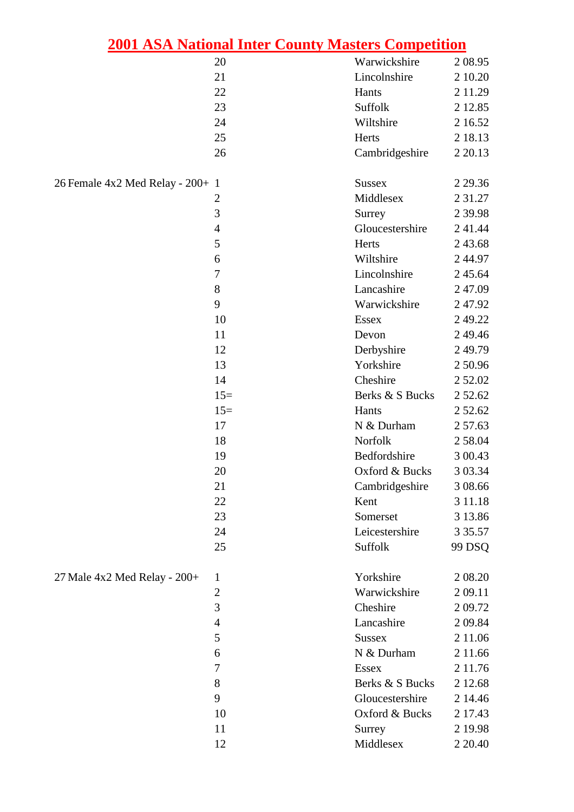|                                  | 2001 ASA National Inter County Masters Competition |                 |             |
|----------------------------------|----------------------------------------------------|-----------------|-------------|
|                                  | 20                                                 | Warwickshire    | 2 08.95     |
|                                  | 21                                                 | Lincolnshire    | 2 10.20     |
|                                  | 22                                                 | Hants           | 2 11.29     |
|                                  | 23                                                 | Suffolk         | 2 12.85     |
|                                  | 24                                                 | Wiltshire       | 2 16.52     |
|                                  | 25                                                 | Herts           | 2 18.13     |
|                                  | 26                                                 | Cambridgeshire  | 2 2 0.13    |
| 26 Female 4x2 Med Relay - 200+ 1 |                                                    | <b>Sussex</b>   | 2 2 9 . 3 6 |
|                                  | $\overline{2}$                                     | Middlesex       | 2 3 1 . 2 7 |
|                                  | 3                                                  | Surrey          | 2 3 9.98    |
|                                  | $\overline{4}$                                     | Gloucestershire | 241.44      |
|                                  | 5                                                  | Herts           | 2 43.68     |
|                                  | 6                                                  | Wiltshire       | 244.97      |
|                                  | $\tau$                                             | Lincolnshire    | 2 45.64     |
|                                  | 8                                                  | Lancashire      | 247.09      |
|                                  | 9                                                  | Warwickshire    | 247.92      |
|                                  | 10                                                 | <b>Essex</b>    | 2 49.22     |
|                                  | 11                                                 | Devon           | 249.46      |
|                                  | 12                                                 | Derbyshire      | 249.79      |
|                                  | 13                                                 | Yorkshire       | 250.96      |
|                                  | 14                                                 | Cheshire        | 2 5 2 .0 2  |
|                                  | $15=$                                              | Berks & S Bucks | 2 52.62     |
|                                  | $15=$                                              | Hants           | 2 52.62     |
|                                  | 17                                                 | N & Durham      | 2 57.63     |
|                                  | 18                                                 | Norfolk         | 2 58.04     |
|                                  | 19                                                 | Bedfordshire    | 3 00.43     |
|                                  | $20\,$                                             | Oxford & Bucks  | 3 03.34     |
|                                  | 21                                                 | Cambridgeshire  | 3 08.66     |
|                                  | 22                                                 | Kent            | 3 11.18     |
|                                  | 23                                                 | Somerset        | 3 13.86     |
|                                  | 24                                                 | Leicestershire  | 3 3 5 . 5 7 |
|                                  | 25                                                 | Suffolk         | 99 DSQ      |
| $27$ Male 4x2 Med Relay - $200+$ | $\mathbf{1}$                                       | Yorkshire       | 2 08.20     |
|                                  | $\mathfrak{2}$                                     | Warwickshire    | 2 09.11     |
|                                  | 3                                                  | Cheshire        | 2 09.72     |
|                                  | $\overline{4}$                                     | Lancashire      | 2 09.84     |
|                                  | 5                                                  | <b>Sussex</b>   | 2 11.06     |
|                                  | 6                                                  | N & Durham      | 2 11.66     |
|                                  | $\tau$                                             | <b>Essex</b>    | 2 11.76     |
|                                  | $8\,$                                              | Berks & S Bucks | 2 12.68     |
|                                  | 9                                                  | Gloucestershire | 2 14.46     |
|                                  | 10                                                 | Oxford & Bucks  | 2 17.43     |
|                                  | 11                                                 | Surrey          | 2 19.98     |
|                                  | 12                                                 | Middlesex       | 2 2 0.40    |
|                                  |                                                    |                 |             |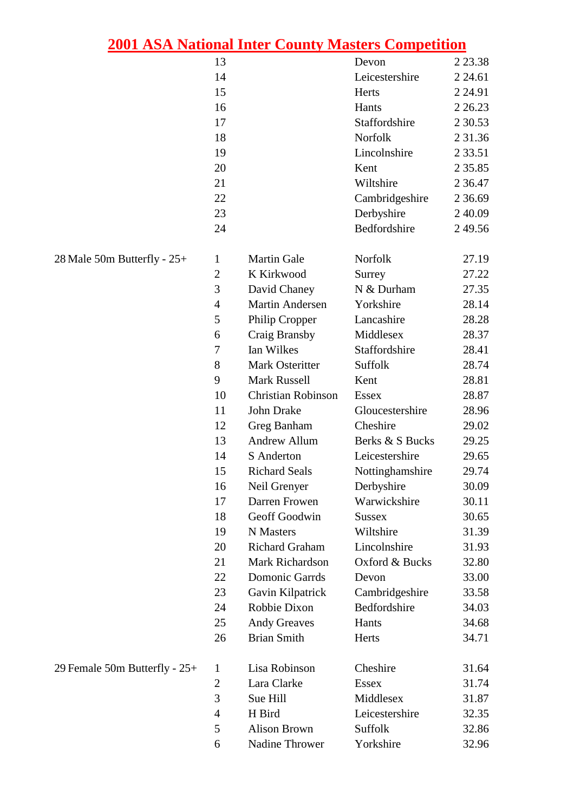|                                 |                | <u>2001 ASA National Inter County Masters Competition</u> |                 |             |
|---------------------------------|----------------|-----------------------------------------------------------|-----------------|-------------|
|                                 | 13             |                                                           | Devon           | 2 2 3 . 3 8 |
|                                 | 14             |                                                           | Leicestershire  | 2 24.61     |
|                                 | 15             |                                                           | Herts           | 2 2 4.91    |
|                                 | 16             |                                                           | Hants           | 2 2 6.23    |
|                                 | 17             |                                                           | Staffordshire   | 2 3 0.53    |
|                                 | 18             |                                                           | Norfolk         | 2 3 1 . 3 6 |
|                                 | 19             |                                                           | Lincolnshire    | 2 3 3 .5 1  |
|                                 | 20             |                                                           | Kent            | 2 3 5 . 8 5 |
|                                 | 21             |                                                           | Wiltshire       | 2 3 6.47    |
|                                 | 22             |                                                           | Cambridgeshire  | 2 3 6 . 6 9 |
|                                 | 23             |                                                           | Derbyshire      | 2 4 0.09    |
|                                 | 24             |                                                           | Bedfordshire    | 249.56      |
| 28 Male 50m Butterfly - 25+     | $\mathbf{1}$   | <b>Martin Gale</b>                                        | Norfolk         | 27.19       |
|                                 | $\mathfrak{2}$ | K Kirkwood                                                | Surrey          | 27.22       |
|                                 | 3              | David Chaney                                              | N & Durham      | 27.35       |
|                                 | $\overline{4}$ | <b>Martin Andersen</b>                                    | Yorkshire       | 28.14       |
|                                 | 5              | Philip Cropper                                            | Lancashire      | 28.28       |
|                                 | 6              | Craig Bransby                                             | Middlesex       | 28.37       |
|                                 | 7              | Ian Wilkes                                                | Staffordshire   | 28.41       |
|                                 | 8              | Mark Osteritter                                           | Suffolk         | 28.74       |
|                                 | 9              | <b>Mark Russell</b>                                       | Kent            | 28.81       |
|                                 | 10             | <b>Christian Robinson</b>                                 | <b>Essex</b>    | 28.87       |
|                                 | 11             | John Drake                                                | Gloucestershire | 28.96       |
|                                 | 12             | Greg Banham                                               | Cheshire        | 29.02       |
|                                 | 13             | <b>Andrew Allum</b>                                       | Berks & S Bucks | 29.25       |
|                                 | 14             | S Anderton                                                | Leicestershire  | 29.65       |
|                                 | 15             | <b>Richard Seals</b>                                      | Nottinghamshire | 29.74       |
|                                 | 16             | Neil Grenyer                                              | Derbyshire      | 30.09       |
|                                 | 17             | Darren Frowen                                             | Warwickshire    | 30.11       |
|                                 | 18             | Geoff Goodwin                                             | <b>Sussex</b>   | 30.65       |
|                                 | 19             | N Masters                                                 | Wiltshire       | 31.39       |
|                                 | 20             | <b>Richard Graham</b>                                     | Lincolnshire    | 31.93       |
|                                 | 21             | Mark Richardson                                           | Oxford & Bucks  | 32.80       |
|                                 | 22             | <b>Domonic Garrds</b>                                     | Devon           | 33.00       |
|                                 | 23             | Gavin Kilpatrick                                          | Cambridgeshire  | 33.58       |
|                                 | 24             | Robbie Dixon                                              | Bedfordshire    | 34.03       |
|                                 | 25             | <b>Andy Greaves</b>                                       | Hants           | 34.68       |
|                                 | 26             | <b>Brian Smith</b>                                        | Herts           | 34.71       |
| 29 Female 50m Butterfly - $25+$ | $\mathbf{1}$   | Lisa Robinson                                             | Cheshire        | 31.64       |
|                                 | $\mathbf{2}$   | Lara Clarke                                               | <b>Essex</b>    | 31.74       |
|                                 | 3              | Sue Hill                                                  | Middlesex       | 31.87       |
|                                 | $\overline{4}$ | H Bird                                                    | Leicestershire  | 32.35       |
|                                 | 5              | <b>Alison Brown</b>                                       | Suffolk         | 32.86       |
|                                 | 6              | Nadine Thrower                                            | Yorkshire       | 32.96       |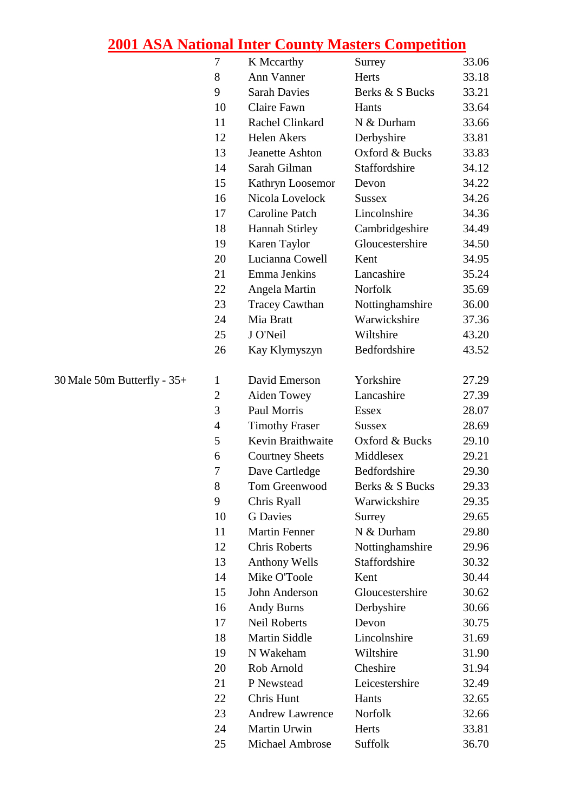|                               | 7              | K Mccarthy             | Surrey          | 33.06 |
|-------------------------------|----------------|------------------------|-----------------|-------|
|                               | 8              | Ann Vanner             | Herts           | 33.18 |
|                               | 9              | <b>Sarah Davies</b>    | Berks & S Bucks | 33.21 |
|                               | 10             | Claire Fawn            | Hants           | 33.64 |
|                               | 11             | Rachel Clinkard        | N & Durham      | 33.66 |
|                               | 12             | Helen Akers            | Derbyshire      | 33.81 |
|                               | 13             | <b>Jeanette Ashton</b> | Oxford & Bucks  | 33.83 |
|                               | 14             | Sarah Gilman           | Staffordshire   | 34.12 |
|                               | 15             | Kathryn Loosemor       | Devon           | 34.22 |
|                               | 16             | Nicola Lovelock        | <b>Sussex</b>   | 34.26 |
|                               | 17             | <b>Caroline Patch</b>  | Lincolnshire    | 34.36 |
|                               | 18             | <b>Hannah Stirley</b>  | Cambridgeshire  | 34.49 |
|                               | 19             | Karen Taylor           | Gloucestershire | 34.50 |
|                               | 20             | Lucianna Cowell        | Kent            | 34.95 |
|                               | 21             | Emma Jenkins           | Lancashire      | 35.24 |
|                               | 22             | Angela Martin          | Norfolk         | 35.69 |
|                               | 23             | <b>Tracey Cawthan</b>  | Nottinghamshire | 36.00 |
|                               | 24             | Mia Bratt              | Warwickshire    | 37.36 |
|                               | 25             | J O'Neil               | Wiltshire       | 43.20 |
|                               | 26             | Kay Klymyszyn          | Bedfordshire    | 43.52 |
| 30 Male 50m Butterfly - $35+$ | $\mathbf{1}$   | David Emerson          | Yorkshire       | 27.29 |
|                               | $\overline{2}$ | Aiden Towey            | Lancashire      | 27.39 |
|                               | 3              | Paul Morris            | <b>Essex</b>    | 28.07 |
|                               | $\overline{4}$ | <b>Timothy Fraser</b>  | <b>Sussex</b>   | 28.69 |
|                               | 5              | Kevin Braithwaite      | Oxford & Bucks  | 29.10 |
|                               | 6              | <b>Courtney Sheets</b> | Middlesex       | 29.21 |
|                               | $\overline{7}$ | Dave Cartledge         | Bedfordshire    | 29.30 |
|                               | 8              | Tom Greenwood          | Berks & S Bucks | 29.33 |
|                               | 9              | Chris Ryall            | Warwickshire    | 29.35 |
|                               | 10             | <b>G</b> Davies        | Surrey          | 29.65 |
|                               | 11             | <b>Martin Fenner</b>   | N & Durham      | 29.80 |
|                               | 12             | <b>Chris Roberts</b>   | Nottinghamshire | 29.96 |
|                               | 13             | <b>Anthony Wells</b>   | Staffordshire   | 30.32 |
|                               | 14             | Mike O'Toole           | Kent            | 30.44 |
|                               | 15             | John Anderson          | Gloucestershire | 30.62 |
|                               | 16             | <b>Andy Burns</b>      | Derbyshire      | 30.66 |
|                               | 17             | <b>Neil Roberts</b>    | Devon           | 30.75 |
|                               | 18             | <b>Martin Siddle</b>   | Lincolnshire    | 31.69 |
|                               | 19             | N Wakeham              | Wiltshire       | 31.90 |
|                               | 20             | Rob Arnold             | Cheshire        | 31.94 |
|                               | 21             | P Newstead             | Leicestershire  | 32.49 |
|                               | 22             | Chris Hunt             | Hants           | 32.65 |
|                               | 23             | <b>Andrew Lawrence</b> | Norfolk         | 32.66 |
|                               | 24             | Martin Urwin           | Herts           | 33.81 |
|                               | 25             | Michael Ambrose        | Suffolk         | 36.70 |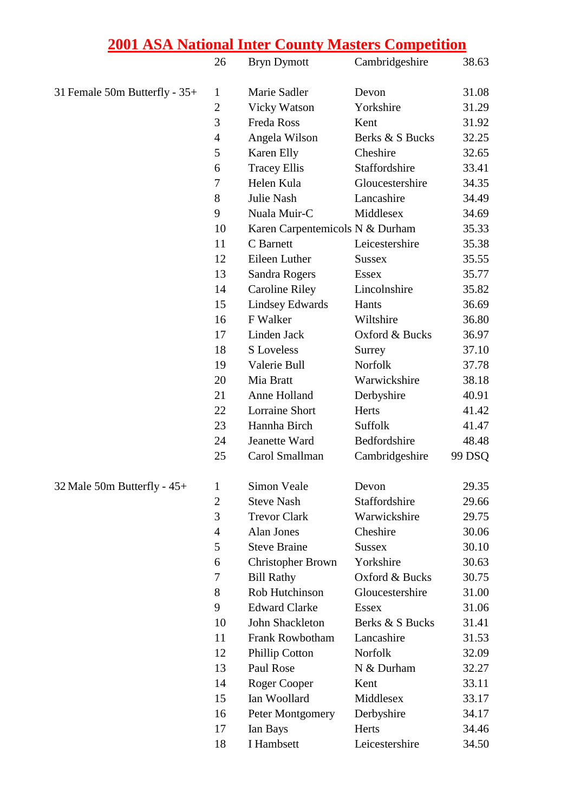|                               | 26             | <b>Bryn Dymott</b>              | Cambridgeshire  | 38.63  |
|-------------------------------|----------------|---------------------------------|-----------------|--------|
| 31 Female 50m Butterfly - 35+ | 1              | Marie Sadler                    | Devon           | 31.08  |
|                               | $\mathbf{2}$   | <b>Vicky Watson</b>             | Yorkshire       | 31.29  |
|                               | 3              | Freda Ross                      | Kent            | 31.92  |
|                               | $\overline{4}$ | Angela Wilson                   | Berks & S Bucks | 32.25  |
|                               | 5              | Karen Elly                      | Cheshire        | 32.65  |
|                               | 6              | <b>Tracey Ellis</b>             | Staffordshire   | 33.41  |
|                               | 7              | Helen Kula                      | Gloucestershire | 34.35  |
|                               | 8              | Julie Nash                      | Lancashire      | 34.49  |
|                               | 9              | Nuala Muir-C                    | Middlesex       | 34.69  |
|                               | 10             | Karen Carpentemicols N & Durham |                 | 35.33  |
|                               | 11             | C Barnett                       | Leicestershire  | 35.38  |
|                               | 12             | Eileen Luther                   | <b>Sussex</b>   | 35.55  |
|                               | 13             | Sandra Rogers                   | <b>Essex</b>    | 35.77  |
|                               | 14             | <b>Caroline Riley</b>           | Lincolnshire    | 35.82  |
|                               | 15             | <b>Lindsey Edwards</b>          | Hants           | 36.69  |
|                               | 16             | F Walker                        | Wiltshire       | 36.80  |
|                               | 17             | Linden Jack                     | Oxford & Bucks  | 36.97  |
|                               | 18             | <b>S</b> Loveless               | Surrey          | 37.10  |
|                               | 19             | Valerie Bull                    | Norfolk         | 37.78  |
|                               | 20             | Mia Bratt                       | Warwickshire    | 38.18  |
|                               | 21             | Anne Holland                    | Derbyshire      | 40.91  |
|                               | 22             | <b>Lorraine Short</b>           | Herts           | 41.42  |
|                               | 23             | Hannha Birch                    | Suffolk         | 41.47  |
|                               | 24             | Jeanette Ward                   | Bedfordshire    | 48.48  |
|                               | 25             | Carol Smallman                  | Cambridgeshire  | 99 DSQ |
| 32 Male 50m Butterfly - 45+   | $\mathbf{1}$   | Simon Veale                     | Devon           | 29.35  |
|                               | $\mathbf{2}$   | <b>Steve Nash</b>               | Staffordshire   | 29.66  |
|                               | 3              | <b>Trevor Clark</b>             | Warwickshire    | 29.75  |
|                               | $\overline{4}$ | Alan Jones                      | Cheshire        | 30.06  |
|                               | 5              | <b>Steve Braine</b>             | <b>Sussex</b>   | 30.10  |
|                               | 6              | <b>Christopher Brown</b>        | Yorkshire       | 30.63  |
|                               | 7              | <b>Bill Rathy</b>               | Oxford & Bucks  | 30.75  |
|                               | 8              | Rob Hutchinson                  | Gloucestershire | 31.00  |
|                               | 9              | <b>Edward Clarke</b>            | <b>Essex</b>    | 31.06  |
|                               | 10             | John Shackleton                 | Berks & S Bucks | 31.41  |
|                               | 11             | Frank Rowbotham                 | Lancashire      | 31.53  |
|                               | 12             | <b>Phillip Cotton</b>           | Norfolk         | 32.09  |
|                               | 13             | Paul Rose                       | N & Durham      | 32.27  |
|                               | 14             | Roger Cooper                    | Kent            | 33.11  |
|                               | 15             | Ian Woollard                    | Middlesex       | 33.17  |
|                               | 16             | Peter Montgomery                | Derbyshire      | 34.17  |
|                               | 17             | Ian Bays                        | Herts           | 34.46  |
|                               | 18             | I Hambsett                      | Leicestershire  | 34.50  |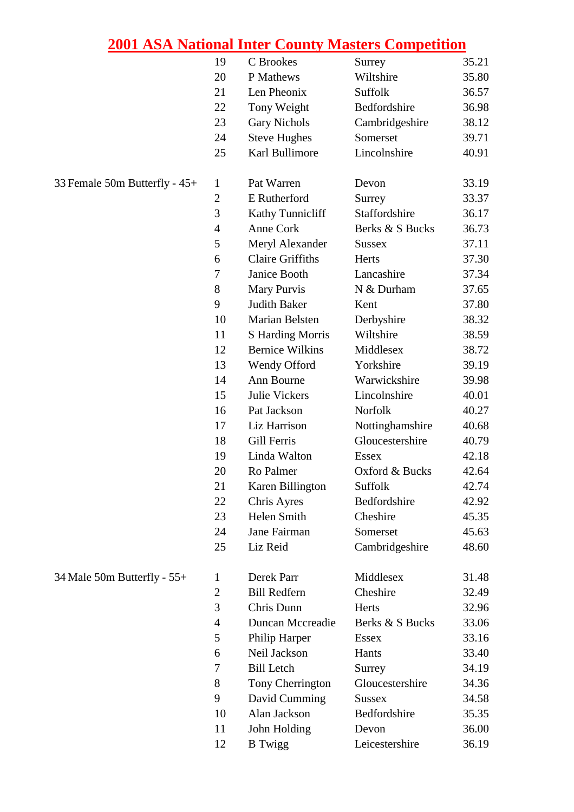| Wiltshire<br>20<br>P Mathews<br>21<br>Len Pheonix<br>Suffolk<br>Bedfordshire<br>22<br>Tony Weight<br>23<br>Cambridgeshire<br><b>Gary Nichols</b><br>Somerset<br>24<br><b>Steve Hughes</b><br>Karl Bullimore<br>Lincolnshire<br>25<br>33 Female 50m Butterfly - 45+<br>Pat Warren<br>$\mathbf{1}$<br>Devon<br>$\boldsymbol{2}$<br>E Rutherford<br>Surrey<br>3<br>Kathy Tunnicliff<br>Staffordshire<br>$\overline{4}$<br>Anne Cork<br>Berks & S Bucks<br>5<br>Meryl Alexander<br><b>Sussex</b><br><b>Claire Griffiths</b><br>6<br>Herts<br>$\tau$<br>Janice Booth<br>Lancashire<br>8<br>Mary Purvis<br>N & Durham<br>9<br><b>Judith Baker</b><br>Kent<br>10<br>Marian Belsten<br>Derbyshire<br>Wiltshire<br>11<br><b>S</b> Harding Morris<br><b>Bernice Wilkins</b><br>Middlesex<br>12<br>13<br>Wendy Offord<br>Yorkshire<br>Ann Bourne<br>Warwickshire<br>14<br>Julie Vickers<br>Lincolnshire<br>15<br>Pat Jackson<br>Norfolk<br>16<br>17<br>Liz Harrison<br>Nottinghamshire<br>Gill Ferris<br>Gloucestershire<br>18<br>Linda Walton<br>19<br><b>Essex</b><br>Ro Palmer<br>20<br>Oxford & Bucks<br>Suffolk<br>21<br>Karen Billington<br>Bedfordshire<br>22<br>Chris Ayres<br>Helen Smith<br>23<br>Cheshire<br>Jane Fairman<br>24<br>Somerset<br>Liz Reid<br>Cambridgeshire<br>25<br>34 Male 50m Butterfly - 55+<br>Middlesex<br>Derek Parr<br>1<br><b>Bill Redfern</b><br>Cheshire<br>$\mathfrak{2}$<br>3<br>Chris Dunn<br>Herts<br><b>Duncan Mccreadie</b><br>$\overline{4}$<br>Berks & S Bucks<br>5<br>Philip Harper<br><b>Essex</b><br>Neil Jackson<br>6<br>Hants | 35.21 |
|---------------------------------------------------------------------------------------------------------------------------------------------------------------------------------------------------------------------------------------------------------------------------------------------------------------------------------------------------------------------------------------------------------------------------------------------------------------------------------------------------------------------------------------------------------------------------------------------------------------------------------------------------------------------------------------------------------------------------------------------------------------------------------------------------------------------------------------------------------------------------------------------------------------------------------------------------------------------------------------------------------------------------------------------------------------------------------------------------------------------------------------------------------------------------------------------------------------------------------------------------------------------------------------------------------------------------------------------------------------------------------------------------------------------------------------------------------------------------------------------------------------------------------------------------------------------|-------|
|                                                                                                                                                                                                                                                                                                                                                                                                                                                                                                                                                                                                                                                                                                                                                                                                                                                                                                                                                                                                                                                                                                                                                                                                                                                                                                                                                                                                                                                                                                                                                                     | 35.80 |
|                                                                                                                                                                                                                                                                                                                                                                                                                                                                                                                                                                                                                                                                                                                                                                                                                                                                                                                                                                                                                                                                                                                                                                                                                                                                                                                                                                                                                                                                                                                                                                     | 36.57 |
|                                                                                                                                                                                                                                                                                                                                                                                                                                                                                                                                                                                                                                                                                                                                                                                                                                                                                                                                                                                                                                                                                                                                                                                                                                                                                                                                                                                                                                                                                                                                                                     | 36.98 |
|                                                                                                                                                                                                                                                                                                                                                                                                                                                                                                                                                                                                                                                                                                                                                                                                                                                                                                                                                                                                                                                                                                                                                                                                                                                                                                                                                                                                                                                                                                                                                                     | 38.12 |
|                                                                                                                                                                                                                                                                                                                                                                                                                                                                                                                                                                                                                                                                                                                                                                                                                                                                                                                                                                                                                                                                                                                                                                                                                                                                                                                                                                                                                                                                                                                                                                     | 39.71 |
|                                                                                                                                                                                                                                                                                                                                                                                                                                                                                                                                                                                                                                                                                                                                                                                                                                                                                                                                                                                                                                                                                                                                                                                                                                                                                                                                                                                                                                                                                                                                                                     | 40.91 |
|                                                                                                                                                                                                                                                                                                                                                                                                                                                                                                                                                                                                                                                                                                                                                                                                                                                                                                                                                                                                                                                                                                                                                                                                                                                                                                                                                                                                                                                                                                                                                                     | 33.19 |
|                                                                                                                                                                                                                                                                                                                                                                                                                                                                                                                                                                                                                                                                                                                                                                                                                                                                                                                                                                                                                                                                                                                                                                                                                                                                                                                                                                                                                                                                                                                                                                     | 33.37 |
|                                                                                                                                                                                                                                                                                                                                                                                                                                                                                                                                                                                                                                                                                                                                                                                                                                                                                                                                                                                                                                                                                                                                                                                                                                                                                                                                                                                                                                                                                                                                                                     | 36.17 |
|                                                                                                                                                                                                                                                                                                                                                                                                                                                                                                                                                                                                                                                                                                                                                                                                                                                                                                                                                                                                                                                                                                                                                                                                                                                                                                                                                                                                                                                                                                                                                                     | 36.73 |
|                                                                                                                                                                                                                                                                                                                                                                                                                                                                                                                                                                                                                                                                                                                                                                                                                                                                                                                                                                                                                                                                                                                                                                                                                                                                                                                                                                                                                                                                                                                                                                     | 37.11 |
|                                                                                                                                                                                                                                                                                                                                                                                                                                                                                                                                                                                                                                                                                                                                                                                                                                                                                                                                                                                                                                                                                                                                                                                                                                                                                                                                                                                                                                                                                                                                                                     | 37.30 |
|                                                                                                                                                                                                                                                                                                                                                                                                                                                                                                                                                                                                                                                                                                                                                                                                                                                                                                                                                                                                                                                                                                                                                                                                                                                                                                                                                                                                                                                                                                                                                                     | 37.34 |
|                                                                                                                                                                                                                                                                                                                                                                                                                                                                                                                                                                                                                                                                                                                                                                                                                                                                                                                                                                                                                                                                                                                                                                                                                                                                                                                                                                                                                                                                                                                                                                     | 37.65 |
|                                                                                                                                                                                                                                                                                                                                                                                                                                                                                                                                                                                                                                                                                                                                                                                                                                                                                                                                                                                                                                                                                                                                                                                                                                                                                                                                                                                                                                                                                                                                                                     | 37.80 |
|                                                                                                                                                                                                                                                                                                                                                                                                                                                                                                                                                                                                                                                                                                                                                                                                                                                                                                                                                                                                                                                                                                                                                                                                                                                                                                                                                                                                                                                                                                                                                                     | 38.32 |
|                                                                                                                                                                                                                                                                                                                                                                                                                                                                                                                                                                                                                                                                                                                                                                                                                                                                                                                                                                                                                                                                                                                                                                                                                                                                                                                                                                                                                                                                                                                                                                     | 38.59 |
|                                                                                                                                                                                                                                                                                                                                                                                                                                                                                                                                                                                                                                                                                                                                                                                                                                                                                                                                                                                                                                                                                                                                                                                                                                                                                                                                                                                                                                                                                                                                                                     | 38.72 |
|                                                                                                                                                                                                                                                                                                                                                                                                                                                                                                                                                                                                                                                                                                                                                                                                                                                                                                                                                                                                                                                                                                                                                                                                                                                                                                                                                                                                                                                                                                                                                                     | 39.19 |
|                                                                                                                                                                                                                                                                                                                                                                                                                                                                                                                                                                                                                                                                                                                                                                                                                                                                                                                                                                                                                                                                                                                                                                                                                                                                                                                                                                                                                                                                                                                                                                     | 39.98 |
|                                                                                                                                                                                                                                                                                                                                                                                                                                                                                                                                                                                                                                                                                                                                                                                                                                                                                                                                                                                                                                                                                                                                                                                                                                                                                                                                                                                                                                                                                                                                                                     | 40.01 |
|                                                                                                                                                                                                                                                                                                                                                                                                                                                                                                                                                                                                                                                                                                                                                                                                                                                                                                                                                                                                                                                                                                                                                                                                                                                                                                                                                                                                                                                                                                                                                                     | 40.27 |
|                                                                                                                                                                                                                                                                                                                                                                                                                                                                                                                                                                                                                                                                                                                                                                                                                                                                                                                                                                                                                                                                                                                                                                                                                                                                                                                                                                                                                                                                                                                                                                     | 40.68 |
|                                                                                                                                                                                                                                                                                                                                                                                                                                                                                                                                                                                                                                                                                                                                                                                                                                                                                                                                                                                                                                                                                                                                                                                                                                                                                                                                                                                                                                                                                                                                                                     | 40.79 |
|                                                                                                                                                                                                                                                                                                                                                                                                                                                                                                                                                                                                                                                                                                                                                                                                                                                                                                                                                                                                                                                                                                                                                                                                                                                                                                                                                                                                                                                                                                                                                                     | 42.18 |
|                                                                                                                                                                                                                                                                                                                                                                                                                                                                                                                                                                                                                                                                                                                                                                                                                                                                                                                                                                                                                                                                                                                                                                                                                                                                                                                                                                                                                                                                                                                                                                     | 42.64 |
|                                                                                                                                                                                                                                                                                                                                                                                                                                                                                                                                                                                                                                                                                                                                                                                                                                                                                                                                                                                                                                                                                                                                                                                                                                                                                                                                                                                                                                                                                                                                                                     | 42.74 |
|                                                                                                                                                                                                                                                                                                                                                                                                                                                                                                                                                                                                                                                                                                                                                                                                                                                                                                                                                                                                                                                                                                                                                                                                                                                                                                                                                                                                                                                                                                                                                                     | 42.92 |
|                                                                                                                                                                                                                                                                                                                                                                                                                                                                                                                                                                                                                                                                                                                                                                                                                                                                                                                                                                                                                                                                                                                                                                                                                                                                                                                                                                                                                                                                                                                                                                     | 45.35 |
|                                                                                                                                                                                                                                                                                                                                                                                                                                                                                                                                                                                                                                                                                                                                                                                                                                                                                                                                                                                                                                                                                                                                                                                                                                                                                                                                                                                                                                                                                                                                                                     | 45.63 |
|                                                                                                                                                                                                                                                                                                                                                                                                                                                                                                                                                                                                                                                                                                                                                                                                                                                                                                                                                                                                                                                                                                                                                                                                                                                                                                                                                                                                                                                                                                                                                                     | 48.60 |
|                                                                                                                                                                                                                                                                                                                                                                                                                                                                                                                                                                                                                                                                                                                                                                                                                                                                                                                                                                                                                                                                                                                                                                                                                                                                                                                                                                                                                                                                                                                                                                     | 31.48 |
|                                                                                                                                                                                                                                                                                                                                                                                                                                                                                                                                                                                                                                                                                                                                                                                                                                                                                                                                                                                                                                                                                                                                                                                                                                                                                                                                                                                                                                                                                                                                                                     | 32.49 |
|                                                                                                                                                                                                                                                                                                                                                                                                                                                                                                                                                                                                                                                                                                                                                                                                                                                                                                                                                                                                                                                                                                                                                                                                                                                                                                                                                                                                                                                                                                                                                                     | 32.96 |
|                                                                                                                                                                                                                                                                                                                                                                                                                                                                                                                                                                                                                                                                                                                                                                                                                                                                                                                                                                                                                                                                                                                                                                                                                                                                                                                                                                                                                                                                                                                                                                     | 33.06 |
|                                                                                                                                                                                                                                                                                                                                                                                                                                                                                                                                                                                                                                                                                                                                                                                                                                                                                                                                                                                                                                                                                                                                                                                                                                                                                                                                                                                                                                                                                                                                                                     | 33.16 |
|                                                                                                                                                                                                                                                                                                                                                                                                                                                                                                                                                                                                                                                                                                                                                                                                                                                                                                                                                                                                                                                                                                                                                                                                                                                                                                                                                                                                                                                                                                                                                                     | 33.40 |
| <b>Bill Letch</b><br>7<br>Surrey                                                                                                                                                                                                                                                                                                                                                                                                                                                                                                                                                                                                                                                                                                                                                                                                                                                                                                                                                                                                                                                                                                                                                                                                                                                                                                                                                                                                                                                                                                                                    | 34.19 |
| 8<br>Tony Cherrington<br>Gloucestershire                                                                                                                                                                                                                                                                                                                                                                                                                                                                                                                                                                                                                                                                                                                                                                                                                                                                                                                                                                                                                                                                                                                                                                                                                                                                                                                                                                                                                                                                                                                            | 34.36 |
| 9<br>David Cumming<br><b>Sussex</b>                                                                                                                                                                                                                                                                                                                                                                                                                                                                                                                                                                                                                                                                                                                                                                                                                                                                                                                                                                                                                                                                                                                                                                                                                                                                                                                                                                                                                                                                                                                                 | 34.58 |
| Alan Jackson<br>10<br>Bedfordshire                                                                                                                                                                                                                                                                                                                                                                                                                                                                                                                                                                                                                                                                                                                                                                                                                                                                                                                                                                                                                                                                                                                                                                                                                                                                                                                                                                                                                                                                                                                                  | 35.35 |
| 11<br>John Holding<br>Devon                                                                                                                                                                                                                                                                                                                                                                                                                                                                                                                                                                                                                                                                                                                                                                                                                                                                                                                                                                                                                                                                                                                                                                                                                                                                                                                                                                                                                                                                                                                                         | 36.00 |
| 12<br>Leicestershire<br><b>B</b> Twigg                                                                                                                                                                                                                                                                                                                                                                                                                                                                                                                                                                                                                                                                                                                                                                                                                                                                                                                                                                                                                                                                                                                                                                                                                                                                                                                                                                                                                                                                                                                              | 36.19 |

#### 33 Female 50m Butterfly -  $45+$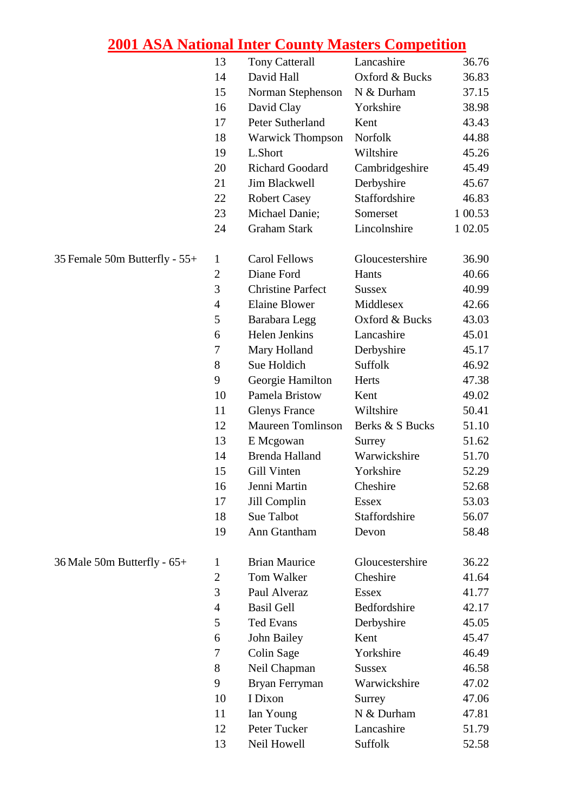|                               | 13             | <b>Tony Catterall</b>    | Lancashire      | 36.76   |
|-------------------------------|----------------|--------------------------|-----------------|---------|
|                               | 14             | David Hall               | Oxford & Bucks  | 36.83   |
|                               | 15             | Norman Stephenson        | N & Durham      | 37.15   |
|                               | 16             | David Clay               | Yorkshire       | 38.98   |
|                               | 17             | Peter Sutherland         | Kent            | 43.43   |
|                               | 18             | <b>Warwick Thompson</b>  | Norfolk         | 44.88   |
|                               | 19             | L.Short                  | Wiltshire       | 45.26   |
|                               | 20             | <b>Richard Goodard</b>   | Cambridgeshire  | 45.49   |
|                               | 21             | Jim Blackwell            | Derbyshire      | 45.67   |
|                               | 22             | <b>Robert Casey</b>      | Staffordshire   | 46.83   |
|                               | 23             | Michael Danie;           | Somerset        | 1 00.53 |
|                               | 24             | <b>Graham Stark</b>      | Lincolnshire    | 1 02.05 |
| 35 Female 50m Butterfly - 55+ | $\mathbf{1}$   | Carol Fellows            | Gloucestershire | 36.90   |
|                               | $\overline{2}$ | Diane Ford               | Hants           | 40.66   |
|                               | 3              | <b>Christine Parfect</b> | <b>Sussex</b>   | 40.99   |
|                               | $\overline{4}$ | <b>Elaine Blower</b>     | Middlesex       | 42.66   |
|                               | 5              | Barabara Legg            | Oxford & Bucks  | 43.03   |
|                               | 6              | Helen Jenkins            | Lancashire      | 45.01   |
|                               | 7              | Mary Holland             | Derbyshire      | 45.17   |
|                               | 8              | Sue Holdich              | Suffolk         | 46.92   |
|                               | 9              | Georgie Hamilton         | Herts           | 47.38   |
|                               | 10             | Pamela Bristow           | Kent            | 49.02   |
|                               | 11             | <b>Glenys France</b>     | Wiltshire       | 50.41   |
|                               | 12             | <b>Maureen Tomlinson</b> | Berks & S Bucks | 51.10   |
|                               | 13             | E Mcgowan                | Surrey          | 51.62   |
|                               | 14             | <b>Brenda Halland</b>    | Warwickshire    | 51.70   |
|                               | 15             | Gill Vinten              | Yorkshire       | 52.29   |
|                               | 16             | Jenni Martin             | Cheshire        | 52.68   |
|                               | 17             | Jill Complin             | <b>Essex</b>    | 53.03   |
|                               | 18             | Sue Talbot               | Staffordshire   | 56.07   |
|                               | 19             | Ann Gtantham             | Devon           | 58.48   |
| 36 Male 50m Butterfly - 65+   | 1              | <b>Brian Maurice</b>     | Gloucestershire | 36.22   |
|                               | $\mathbf{2}$   | Tom Walker               | Cheshire        | 41.64   |
|                               | 3              | Paul Alveraz             | <b>Essex</b>    | 41.77   |
|                               | $\overline{4}$ | <b>Basil Gell</b>        | Bedfordshire    | 42.17   |
|                               | 5              | <b>Ted Evans</b>         | Derbyshire      | 45.05   |
|                               | 6              | John Bailey              | Kent            | 45.47   |
|                               | 7              | Colin Sage               | Yorkshire       | 46.49   |
|                               | 8              | Neil Chapman             | <b>Sussex</b>   | 46.58   |
|                               | 9              | Bryan Ferryman           | Warwickshire    | 47.02   |
|                               | 10             | I Dixon                  | Surrey          | 47.06   |
|                               | 11             | Ian Young                | N & Durham      | 47.81   |
|                               | 12             | Peter Tucker             | Lancashire      | 51.79   |
|                               | 13             | Neil Howell              | Suffolk         | 52.58   |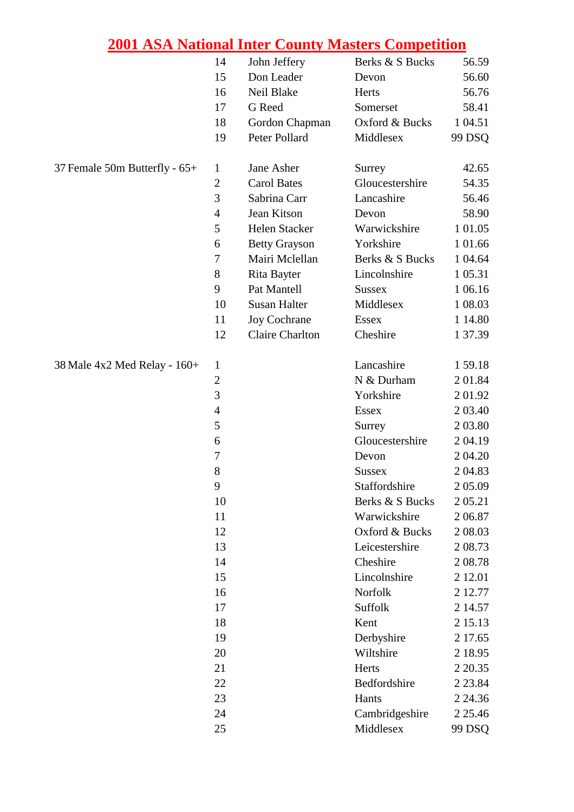|                               | 14             | John Jeffery           | Berks & S Bucks | 56.59       |
|-------------------------------|----------------|------------------------|-----------------|-------------|
|                               | 15             | Don Leader             | Devon           | 56.60       |
|                               | 16             | Neil Blake             | Herts           | 56.76       |
|                               | 17             | G Reed                 | Somerset        | 58.41       |
|                               | 18             | Gordon Chapman         | Oxford & Bucks  | 1 04.51     |
|                               | 19             | Peter Pollard          | Middlesex       | 99 DSQ      |
| 37 Female 50m Butterfly - 65+ | 1              | Jane Asher             | Surrey          | 42.65       |
|                               | $\overline{2}$ | <b>Carol Bates</b>     | Gloucestershire | 54.35       |
|                               | 3              | Sabrina Carr           | Lancashire      | 56.46       |
|                               | $\overline{4}$ | Jean Kitson            | Devon           | 58.90       |
|                               | 5              | Helen Stacker          | Warwickshire    | 1 01.05     |
|                               | 6              | <b>Betty Grayson</b>   | Yorkshire       | 1 01.66     |
|                               | 7              | Mairi Mclellan         | Berks & S Bucks | 1 04.64     |
|                               | 8              | Rita Bayter            | Lincolnshire    | 1 05.31     |
|                               | 9              | Pat Mantell            | <b>Sussex</b>   | 1 06.16     |
|                               | 10             | <b>Susan Halter</b>    | Middlesex       | 1 08.03     |
|                               | 11             | Joy Cochrane           | <b>Essex</b>    | 1 14.80     |
|                               | 12             | <b>Claire Charlton</b> | Cheshire        | 1 37.39     |
| 38 Male 4x2 Med Relay - 160+  | 1              |                        | Lancashire      | 159.18      |
|                               | $\overline{2}$ |                        | N & Durham      | 2 01.84     |
|                               | 3              |                        | Yorkshire       | 201.92      |
|                               | $\overline{4}$ |                        | <b>Essex</b>    | 2 03.40     |
|                               | 5              |                        | Surrey          | 2 03.80     |
|                               | 6              |                        | Gloucestershire | 204.19      |
|                               | $\tau$         |                        | Devon           | 2 04.20     |
|                               | 8              |                        | <b>Sussex</b>   | 2 04.83     |
|                               | 9              |                        | Staffordshire   | 2 05.09     |
|                               | 10             |                        | Berks & S Bucks | 2 05.21     |
|                               | 11             |                        | Warwickshire    | 206.87      |
|                               | 12             |                        | Oxford & Bucks  | 2 08:03     |
|                               | 13             |                        | Leicestershire  | 2 08.73     |
|                               | 14             |                        | Cheshire        | 208.78      |
|                               | 15             |                        | Lincolnshire    | 2 12.01     |
|                               | 16             |                        | Norfolk         | 2 12.77     |
|                               | 17             |                        | Suffolk         | 2 14.57     |
|                               | 18             |                        | Kent            | 2 15.13     |
|                               | 19             |                        | Derbyshire      | 2 17.65     |
|                               | 20             |                        | Wiltshire       | 2 18.95     |
|                               | 21             |                        | Herts           | 2 2 0.35    |
|                               | 22             |                        | Bedfordshire    | 2 2 3 . 8 4 |
|                               | 23             |                        | Hants           | 2 24.36     |
|                               | 24             |                        | Cambridgeshire  | 2 2 5.46    |
|                               | 25             |                        | Middlesex       | 99 DSQ      |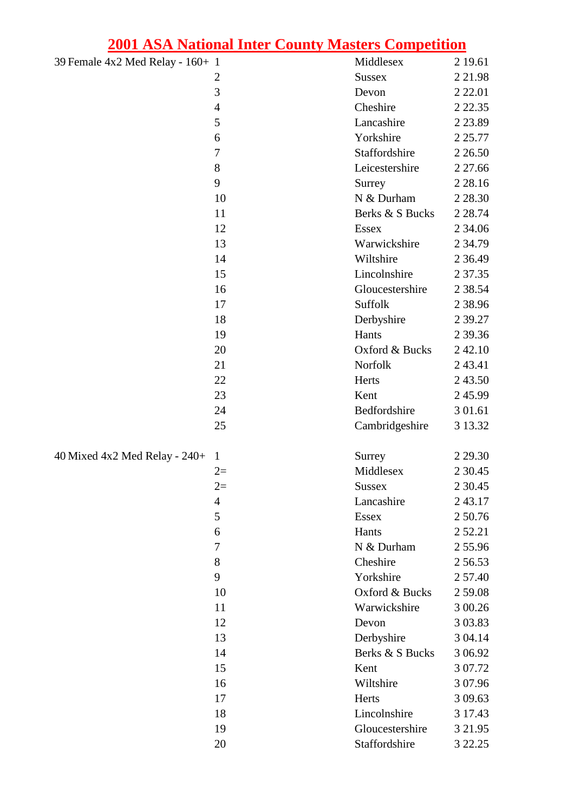| 39 Female 4x2 Med Relay - 160+ 1 |                | Middlesex       | 2 19.61     |
|----------------------------------|----------------|-----------------|-------------|
|                                  | $\overline{2}$ | <b>Sussex</b>   | 2 2 1.98    |
|                                  | 3              | Devon           | 2 2 2 .01   |
|                                  | $\overline{4}$ | Cheshire        | 2 2 2 . 3 5 |
|                                  | 5              | Lancashire      | 2 2 3 . 8 9 |
|                                  | 6              | Yorkshire       | 2 2 5.77    |
|                                  | $\overline{7}$ | Staffordshire   | 2 2 6.50    |
|                                  | 8              | Leicestershire  | 2 27.66     |
|                                  | 9              | Surrey          | 2 2 8 . 1 6 |
|                                  | 10             | N & Durham      | 2 2 8 . 3 0 |
|                                  | 11             | Berks & S Bucks | 2 2 8.74    |
|                                  | 12             | <b>Essex</b>    | 2 34.06     |
|                                  | 13             | Warwickshire    | 2 34.79     |
|                                  | 14             | Wiltshire       | 2 3 6 4 9   |
|                                  | 15             | Lincolnshire    | 2 3 7 . 3 5 |
|                                  | 16             | Gloucestershire | 2 38.54     |
|                                  | 17             | <b>Suffolk</b>  | 2 3 8 .9 6  |
|                                  | 18             | Derbyshire      | 2 39.27     |
|                                  | 19             | Hants           | 2 3 9 . 3 6 |
|                                  | 20             | Oxford & Bucks  | 2 42.10     |
|                                  | 21             | Norfolk         | 243.41      |
|                                  | 22             | Herts           | 2 43.50     |
|                                  | 23             | Kent            | 245.99      |
|                                  | 24             | Bedfordshire    | 3 01.61     |
|                                  | 25             | Cambridgeshire  | 3 13.32     |
| 40 Mixed 4x2 Med Relay - $240+$  | $\mathbf{1}$   | Surrey          | 2 2 9 . 3 0 |
|                                  | $2=$           | Middlesex       | 2 3 0.45    |
|                                  | $2=$           | Sussex          | 2 3 0.45    |
|                                  | 4              | Lancashire      | 243.17      |
|                                  | 5              | <b>Essex</b>    | 2 50.76     |
|                                  | 6              | Hants           | 2 5 2.2 1   |
|                                  | $\tau$         | N & Durham      | 255.96      |
|                                  | 8              | Cheshire        | 256.53      |
|                                  | 9              | Yorkshire       | 2 57.40     |
|                                  | 10             | Oxford & Bucks  | 2 59.08     |
|                                  | 11             | Warwickshire    | 3 00.26     |
|                                  | 12             | Devon           | 3 03.83     |
|                                  | 13             | Derbyshire      | 3 04.14     |
|                                  | 14             | Berks & S Bucks | 3 06.92     |
|                                  | 15             | Kent            | 3 07.72     |
|                                  | 16             | Wiltshire       | 3 07.96     |
|                                  | 17             | Herts           | 3 09.63     |
|                                  | 18             | Lincolnshire    | 3 17.43     |
|                                  | 19             | Gloucestershire | 3 2 1.95    |
|                                  | 20             | Staffordshire   | 3 2 2.25    |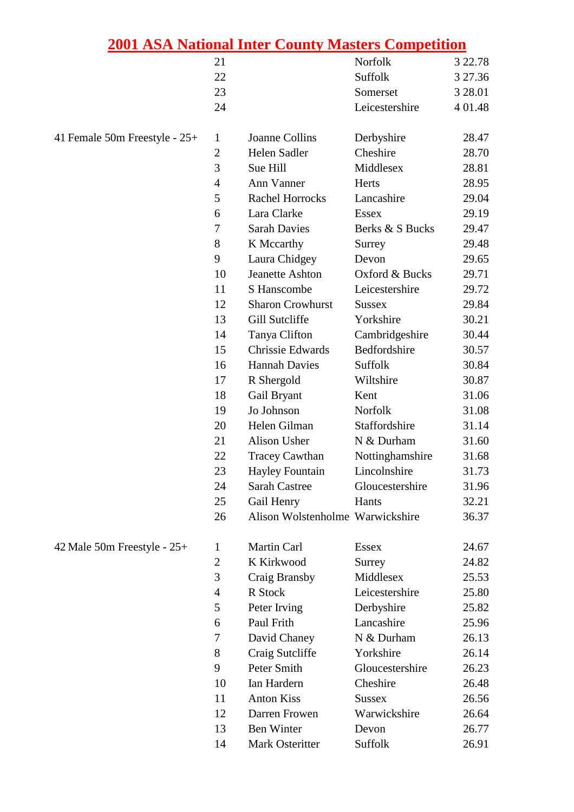|                               |                | zuul ASA Nauonal Inter County Masters Competition |                 |          |
|-------------------------------|----------------|---------------------------------------------------|-----------------|----------|
|                               | 21             |                                                   | Norfolk         | 3 2 2.78 |
|                               | 22             |                                                   | Suffolk         | 3 27.36  |
|                               | 23             |                                                   | Somerset        | 3 28.01  |
|                               | 24             |                                                   | Leicestershire  | 4 01.48  |
| 41 Female 50m Freestyle - 25+ | $\mathbf{1}$   | Joanne Collins                                    | Derbyshire      | 28.47    |
|                               | $\mathfrak{2}$ | Helen Sadler                                      | Cheshire        | 28.70    |
|                               | 3              | Sue Hill                                          | Middlesex       | 28.81    |
|                               | $\overline{4}$ | <b>Ann Vanner</b>                                 | Herts           | 28.95    |
|                               | 5              | <b>Rachel Horrocks</b>                            | Lancashire      | 29.04    |
|                               | 6              | Lara Clarke                                       | <b>Essex</b>    | 29.19    |
|                               | $\overline{7}$ | <b>Sarah Davies</b>                               | Berks & S Bucks | 29.47    |
|                               | 8              | K Mccarthy                                        | Surrey          | 29.48    |
|                               | 9              | Laura Chidgey                                     | Devon           | 29.65    |
|                               | 10             | <b>Jeanette Ashton</b>                            | Oxford & Bucks  | 29.71    |
|                               | 11             | S Hanscombe                                       | Leicestershire  | 29.72    |
|                               | 12             | <b>Sharon Crowhurst</b>                           | <b>Sussex</b>   | 29.84    |
|                               | 13             | Gill Sutcliffe                                    | Yorkshire       | 30.21    |
|                               | 14             | Tanya Clifton                                     | Cambridgeshire  | 30.44    |
|                               | 15             | Chrissie Edwards                                  | Bedfordshire    | 30.57    |
|                               | 16             | <b>Hannah Davies</b>                              | Suffolk         | 30.84    |
|                               | 17             | R Shergold                                        | Wiltshire       | 30.87    |
|                               | 18             | Gail Bryant                                       | Kent            | 31.06    |
|                               | 19             | Jo Johnson                                        | Norfolk         | 31.08    |
|                               | 20             | Helen Gilman                                      | Staffordshire   | 31.14    |
|                               | 21             | Alison Usher                                      | N & Durham      | 31.60    |
|                               | 22             | <b>Tracey Cawthan</b>                             | Nottinghamshire | 31.68    |
|                               | 23             | <b>Hayley Fountain</b>                            | Lincolnshire    | 31.73    |
|                               | 24             | <b>Sarah Castree</b>                              | Gloucestershire | 31.96    |
|                               | 25             | Gail Henry                                        | Hants           | 32.21    |
|                               | 26             | Alison Wolstenholme Warwickshire                  |                 | 36.37    |
| 42 Male 50m Freestyle - 25+   | $\mathbf{1}$   | Martin Carl                                       | <b>Essex</b>    | 24.67    |
|                               | $\mathbf{2}$   | K Kirkwood                                        | Surrey          | 24.82    |
|                               | 3              | Craig Bransby                                     | Middlesex       | 25.53    |
|                               | $\overline{4}$ | R Stock                                           | Leicestershire  | 25.80    |
|                               | 5              | Peter Irving                                      | Derbyshire      | 25.82    |
|                               | 6              | Paul Frith                                        | Lancashire      | 25.96    |
|                               | 7              | David Chaney                                      | N & Durham      | 26.13    |
|                               | 8              | Craig Sutcliffe                                   | Yorkshire       | 26.14    |
|                               | 9              | Peter Smith                                       | Gloucestershire | 26.23    |
|                               | 10             | Ian Hardern                                       | Cheshire        | 26.48    |
|                               | 11             | <b>Anton Kiss</b>                                 | <b>Sussex</b>   | 26.56    |
|                               | 12             | Darren Frowen                                     | Warwickshire    | 26.64    |
|                               | 13             | Ben Winter                                        | Devon           | 26.77    |

14 Mark Osteritter Suffolk 26.91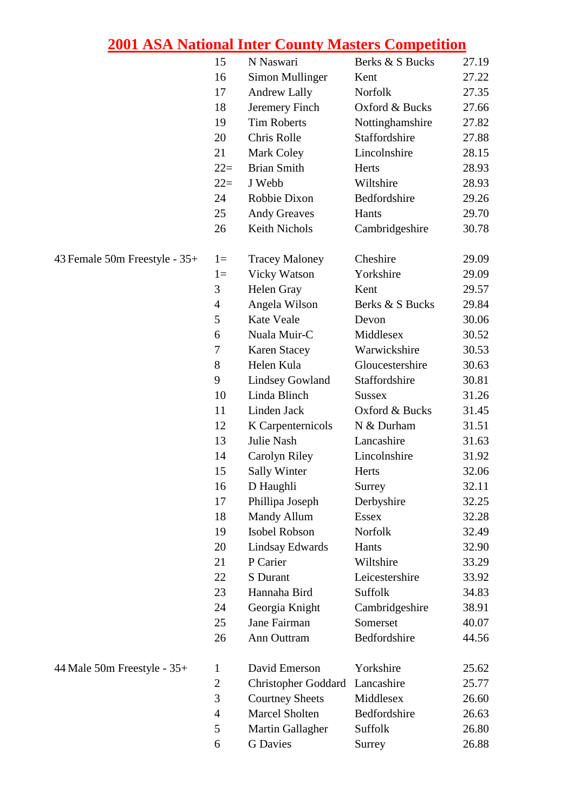|                               | 15             | N Naswari                  | Berks & S Bucks | 27.19 |
|-------------------------------|----------------|----------------------------|-----------------|-------|
|                               | 16             | <b>Simon Mullinger</b>     | Kent            | 27.22 |
|                               | 17             | <b>Andrew Lally</b>        | Norfolk         | 27.35 |
|                               | 18             | Jeremery Finch             | Oxford & Bucks  | 27.66 |
|                               | 19             | <b>Tim Roberts</b>         | Nottinghamshire | 27.82 |
|                               | 20             | Chris Rolle                | Staffordshire   | 27.88 |
|                               | 21             | <b>Mark Coley</b>          | Lincolnshire    | 28.15 |
|                               | $22=$          | <b>Brian Smith</b>         | Herts           | 28.93 |
|                               | $22=$          | J Webb                     | Wiltshire       | 28.93 |
|                               | 24             | Robbie Dixon               | Bedfordshire    | 29.26 |
|                               | 25             | <b>Andy Greaves</b>        | Hants           | 29.70 |
|                               | 26             | Keith Nichols              | Cambridgeshire  | 30.78 |
| 43 Female 50m Freestyle - 35+ | $1 =$          | <b>Tracey Maloney</b>      | Cheshire        | 29.09 |
|                               | $1=$           | <b>Vicky Watson</b>        | Yorkshire       | 29.09 |
|                               | 3              | Helen Gray                 | Kent            | 29.57 |
|                               | $\overline{4}$ | Angela Wilson              | Berks & S Bucks | 29.84 |
|                               | 5              | Kate Veale                 | Devon           | 30.06 |
|                               | 6              | Nuala Muir-C               | Middlesex       | 30.52 |
|                               | 7              | <b>Karen Stacey</b>        | Warwickshire    | 30.53 |
|                               | 8              | Helen Kula                 | Gloucestershire | 30.63 |
|                               | 9              | <b>Lindsey Gowland</b>     | Staffordshire   | 30.81 |
|                               | 10             | Linda Blinch               | <b>Sussex</b>   | 31.26 |
|                               | 11             | Linden Jack                | Oxford & Bucks  | 31.45 |
|                               | 12             | K Carpenternicols          | N & Durham      | 31.51 |
|                               | 13             | <b>Julie Nash</b>          | Lancashire      | 31.63 |
|                               | 14             | Carolyn Riley              | Lincolnshire    | 31.92 |
|                               | 15             | <b>Sally Winter</b>        | Herts           | 32.06 |
|                               | 16             | D Haughli                  | Surrey          | 32.11 |
|                               | 17             | Phillipa Joseph            | Derbyshire      | 32.25 |
|                               | 18             | <b>Mandy Allum</b>         | <b>Essex</b>    | 32.28 |
|                               | 19             | Isobel Robson              | Norfolk         | 32.49 |
|                               | 20             | <b>Lindsay Edwards</b>     | Hants           | 32.90 |
|                               | 21             | P Carier                   | Wiltshire       | 33.29 |
|                               | 22             | S Durant                   | Leicestershire  | 33.92 |
|                               | 23             | Hannaha Bird               | Suffolk         | 34.83 |
|                               | 24             | Georgia Knight             | Cambridgeshire  | 38.91 |
|                               | 25             | Jane Fairman               | Somerset        | 40.07 |
|                               | 26             | Ann Outtram                | Bedfordshire    | 44.56 |
| 44 Male 50m Freestyle - 35+   | $\mathbf{1}$   | David Emerson              | Yorkshire       | 25.62 |
|                               | $\mathbf{2}$   | <b>Christopher Goddard</b> | Lancashire      | 25.77 |
|                               | 3              | <b>Courtney Sheets</b>     | Middlesex       | 26.60 |
|                               | $\overline{4}$ | <b>Marcel Sholten</b>      | Bedfordshire    | 26.63 |
|                               | 5              | Martin Gallagher           | Suffolk         | 26.80 |
|                               | 6              | <b>G</b> Davies            | Surrey          | 26.88 |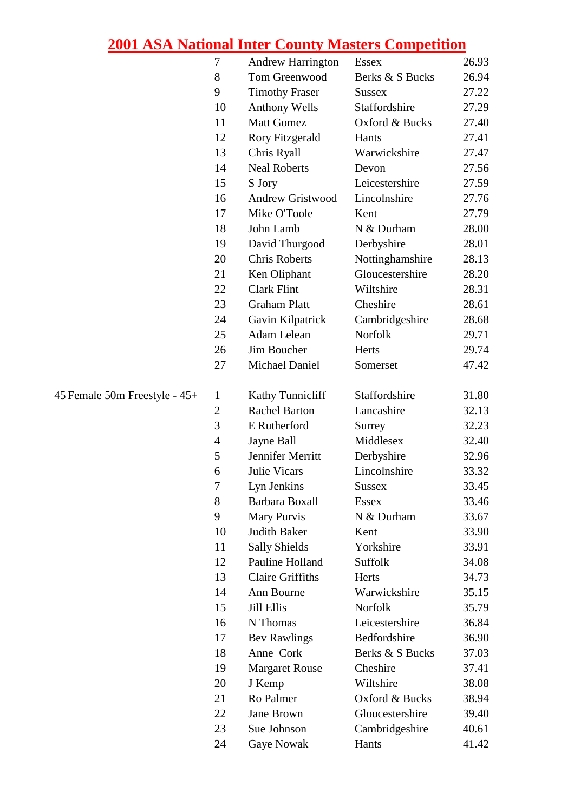|                               | 7              | <b>Andrew Harrington</b> | <b>Essex</b>    | 26.93 |
|-------------------------------|----------------|--------------------------|-----------------|-------|
|                               | 8              | Tom Greenwood            | Berks & S Bucks | 26.94 |
|                               | 9              | <b>Timothy Fraser</b>    | <b>Sussex</b>   | 27.22 |
|                               | 10             | <b>Anthony Wells</b>     | Staffordshire   | 27.29 |
|                               | 11             | <b>Matt Gomez</b>        | Oxford & Bucks  | 27.40 |
|                               | 12             | <b>Rory Fitzgerald</b>   | Hants           | 27.41 |
|                               | 13             | Chris Ryall              | Warwickshire    | 27.47 |
|                               | 14             | <b>Neal Roberts</b>      | Devon           | 27.56 |
|                               | 15             | S Jory                   | Leicestershire  | 27.59 |
|                               | 16             | <b>Andrew Gristwood</b>  | Lincolnshire    | 27.76 |
|                               | 17             | Mike O'Toole             | Kent            | 27.79 |
|                               | 18             | John Lamb                | N & Durham      | 28.00 |
|                               | 19             | David Thurgood           | Derbyshire      | 28.01 |
|                               | 20             | <b>Chris Roberts</b>     | Nottinghamshire | 28.13 |
|                               | 21             | Ken Oliphant             | Gloucestershire | 28.20 |
|                               | 22             | <b>Clark Flint</b>       | Wiltshire       | 28.31 |
|                               | 23             | <b>Graham Platt</b>      | Cheshire        | 28.61 |
|                               | 24             | Gavin Kilpatrick         | Cambridgeshire  | 28.68 |
|                               | 25             | Adam Lelean              | Norfolk         | 29.71 |
|                               | 26             | Jim Boucher              | Herts           | 29.74 |
|                               | 27             | Michael Daniel           | Somerset        | 47.42 |
| 45 Female 50m Freestyle - 45+ | $\mathbf{1}$   | <b>Kathy Tunnicliff</b>  | Staffordshire   | 31.80 |
|                               | $\mathbf{2}$   | <b>Rachel Barton</b>     | Lancashire      | 32.13 |
|                               | 3              | E Rutherford             | Surrey          | 32.23 |
|                               | $\overline{4}$ | Jayne Ball               | Middlesex       | 32.40 |
|                               | 5              | Jennifer Merritt         | Derbyshire      | 32.96 |
|                               | 6              | <b>Julie Vicars</b>      | Lincolnshire    | 33.32 |
|                               | 7              | Lyn Jenkins              | Sussex          | 33.45 |
|                               | 8              | Barbara Boxall           | <b>Essex</b>    | 33.46 |
|                               | 9              | Mary Purvis              | N & Durham      | 33.67 |
|                               | 10             | Judith Baker             | Kent            | 33.90 |
|                               | 11             | <b>Sally Shields</b>     | Yorkshire       | 33.91 |
|                               | 12             | Pauline Holland          | Suffolk         | 34.08 |
|                               | 13             | <b>Claire Griffiths</b>  | Herts           | 34.73 |
|                               | 14             | Ann Bourne               | Warwickshire    | 35.15 |
|                               | 15             | <b>Jill Ellis</b>        | Norfolk         | 35.79 |
|                               | 16             | N Thomas                 | Leicestershire  | 36.84 |
|                               | 17             | <b>Bev Rawlings</b>      | Bedfordshire    | 36.90 |
|                               | 18             | Anne Cork                | Berks & S Bucks | 37.03 |
|                               | 19             | <b>Margaret Rouse</b>    | Cheshire        | 37.41 |
|                               | 20             | J Kemp                   | Wiltshire       | 38.08 |
|                               | 21             | Ro Palmer                | Oxford & Bucks  | 38.94 |
|                               | 22             | <b>Jane Brown</b>        | Gloucestershire | 39.40 |
|                               | 23             | Sue Johnson              | Cambridgeshire  | 40.61 |
|                               | 24             | Gaye Nowak               | Hants           | 41.42 |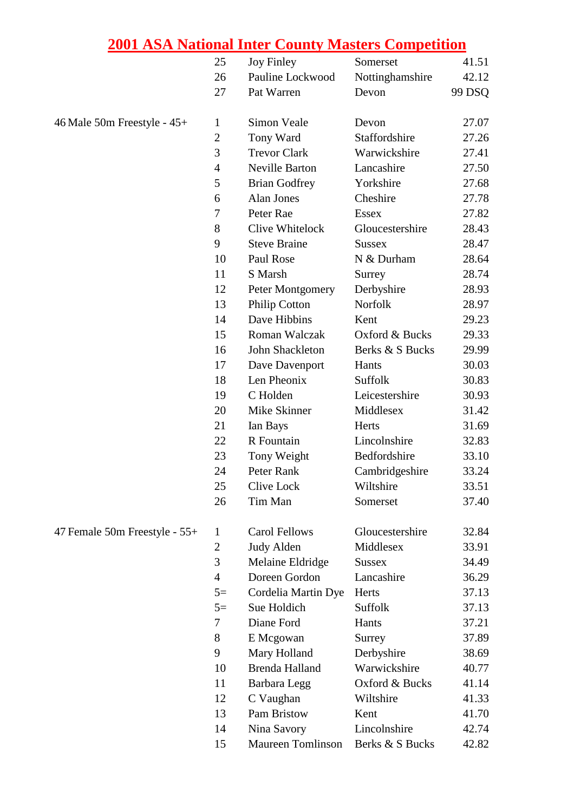|                               | 25               | <b>Joy Finley</b>        | Somerset        | 41.51  |
|-------------------------------|------------------|--------------------------|-----------------|--------|
|                               | 26               | Pauline Lockwood         | Nottinghamshire | 42.12  |
|                               | 27               | Pat Warren               | Devon           | 99 DSQ |
| 46 Male 50m Freestyle - 45+   | $\mathbf{1}$     | Simon Veale              | Devon           | 27.07  |
|                               | $\mathfrak{2}$   | Tony Ward                | Staffordshire   | 27.26  |
|                               | 3                | <b>Trevor Clark</b>      | Warwickshire    | 27.41  |
|                               | $\overline{4}$   | <b>Neville Barton</b>    | Lancashire      | 27.50  |
|                               | 5                | <b>Brian Godfrey</b>     | Yorkshire       | 27.68  |
|                               | 6                | Alan Jones               | Cheshire        | 27.78  |
|                               | $\boldsymbol{7}$ | Peter Rae                | <b>Essex</b>    | 27.82  |
|                               | 8                | Clive Whitelock          | Gloucestershire | 28.43  |
|                               | 9                | <b>Steve Braine</b>      | <b>Sussex</b>   | 28.47  |
|                               | 10               | Paul Rose                | N & Durham      | 28.64  |
|                               | 11               | S Marsh                  | Surrey          | 28.74  |
|                               | 12               | Peter Montgomery         | Derbyshire      | 28.93  |
|                               | 13               | <b>Philip Cotton</b>     | Norfolk         | 28.97  |
|                               | 14               | Dave Hibbins             | Kent            | 29.23  |
|                               | 15               | Roman Walczak            | Oxford & Bucks  | 29.33  |
|                               | 16               | John Shackleton          | Berks & S Bucks | 29.99  |
|                               | 17               | Dave Davenport           | Hants           | 30.03  |
|                               | 18               | Len Pheonix              | Suffolk         | 30.83  |
|                               | 19               | C Holden                 | Leicestershire  | 30.93  |
|                               | 20               | Mike Skinner             | Middlesex       | 31.42  |
|                               | 21               | Ian Bays                 | Herts           | 31.69  |
|                               | 22               | R Fountain               | Lincolnshire    | 32.83  |
|                               | 23               | Tony Weight              | Bedfordshire    | 33.10  |
|                               | 24               | Peter Rank               | Cambridgeshire  | 33.24  |
|                               | 25               | Clive Lock               | Wiltshire       | 33.51  |
|                               | 26               | Tim Man                  | Somerset        | 37.40  |
| 47 Female 50m Freestyle - 55+ | $\mathbf{1}$     | Carol Fellows            | Gloucestershire | 32.84  |
|                               | $\mathbf{2}$     | <b>Judy Alden</b>        | Middlesex       | 33.91  |
|                               | 3                | Melaine Eldridge         | <b>Sussex</b>   | 34.49  |
|                               | $\overline{4}$   | Doreen Gordon            | Lancashire      | 36.29  |
|                               | $5=$             | Cordelia Martin Dye      | Herts           | 37.13  |
|                               | $5=$             | Sue Holdich              | Suffolk         | 37.13  |
|                               | 7                | Diane Ford               | Hants           | 37.21  |
|                               | 8                | E Mcgowan                | Surrey          | 37.89  |
|                               | 9                | Mary Holland             | Derbyshire      | 38.69  |
|                               | 10               | <b>Brenda Halland</b>    | Warwickshire    | 40.77  |
|                               | 11               | Barbara Legg             | Oxford & Bucks  | 41.14  |
|                               | 12               | C Vaughan                | Wiltshire       | 41.33  |
|                               | 13               | Pam Bristow              | Kent            | 41.70  |
|                               | 14               | Nina Savory              | Lincolnshire    | 42.74  |
|                               | 15               | <b>Maureen Tomlinson</b> | Berks & S Bucks | 42.82  |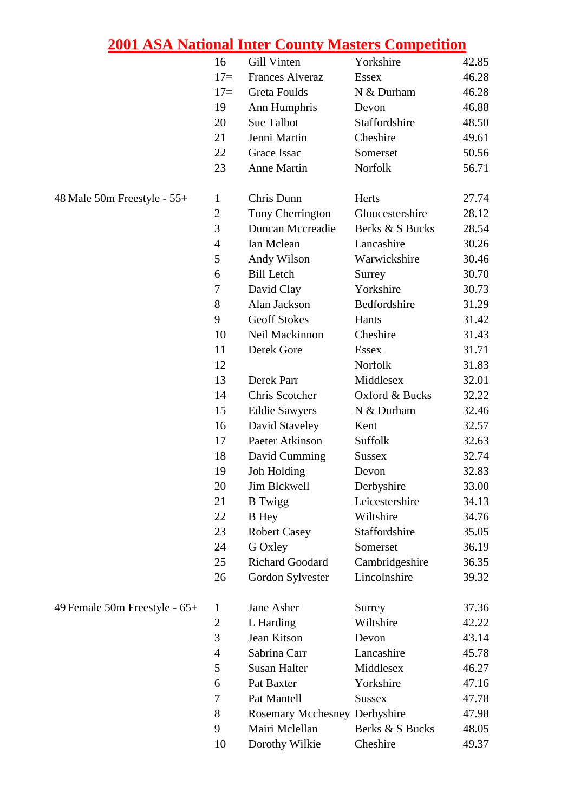|                               | 16             | Gill Vinten                   | Yorkshire       | 42.85 |
|-------------------------------|----------------|-------------------------------|-----------------|-------|
|                               | $17=$          | <b>Frances Alveraz</b>        | <b>Essex</b>    | 46.28 |
|                               | $17=$          | Greta Foulds                  | N & Durham      | 46.28 |
|                               | 19             | Ann Humphris                  | Devon           | 46.88 |
|                               | 20             | <b>Sue Talbot</b>             | Staffordshire   | 48.50 |
|                               | 21             | Jenni Martin                  | Cheshire        | 49.61 |
|                               | 22             | Grace Issac                   | Somerset        | 50.56 |
|                               | 23             | <b>Anne Martin</b>            | Norfolk         | 56.71 |
| 48 Male 50m Freestyle - 55+   | 1              | Chris Dunn                    | Herts           | 27.74 |
|                               | $\mathfrak{2}$ | Tony Cherrington              | Gloucestershire | 28.12 |
|                               | 3              | <b>Duncan Mccreadie</b>       | Berks & S Bucks | 28.54 |
|                               | $\overline{4}$ | Ian Mclean                    | Lancashire      | 30.26 |
|                               | 5              | Andy Wilson                   | Warwickshire    | 30.46 |
|                               | 6              | <b>Bill Letch</b>             | Surrey          | 30.70 |
|                               | $\tau$         | David Clay                    | Yorkshire       | 30.73 |
|                               | 8              | Alan Jackson                  | Bedfordshire    | 31.29 |
|                               | 9              | <b>Geoff Stokes</b>           | Hants           | 31.42 |
|                               | 10             | Neil Mackinnon                | Cheshire        | 31.43 |
|                               | 11             | Derek Gore                    | <b>Essex</b>    | 31.71 |
|                               | 12             |                               | Norfolk         | 31.83 |
|                               | 13             | Derek Parr                    | Middlesex       | 32.01 |
|                               | 14             | Chris Scotcher                | Oxford & Bucks  | 32.22 |
|                               | 15             | <b>Eddie Sawyers</b>          | N & Durham      | 32.46 |
|                               | 16             | David Staveley                | Kent            | 32.57 |
|                               | 17             | Paeter Atkinson               | Suffolk         | 32.63 |
|                               | 18             | David Cumming                 | <b>Sussex</b>   | 32.74 |
|                               | 19             | Joh Holding                   | Devon           | 32.83 |
|                               | 20             | Jim Blckwell                  | Derbyshire      | 33.00 |
|                               | 21             | <b>B</b> Twigg                | Leicestershire  | 34.13 |
|                               | 22             | <b>B</b> Hey                  | Wiltshire       | 34.76 |
|                               | 23             | <b>Robert Casey</b>           | Staffordshire   | 35.05 |
|                               | 24             | G Oxley                       | Somerset        | 36.19 |
|                               | 25             | <b>Richard Goodard</b>        | Cambridgeshire  | 36.35 |
|                               | 26             | Gordon Sylvester              | Lincolnshire    | 39.32 |
| 49 Female 50m Freestyle - 65+ | 1              | Jane Asher                    | Surrey          | 37.36 |
|                               | $\overline{2}$ | L Harding                     | Wiltshire       | 42.22 |
|                               | 3              | Jean Kitson                   | Devon           | 43.14 |
|                               | $\overline{4}$ | Sabrina Carr                  | Lancashire      | 45.78 |
|                               | 5              | <b>Susan Halter</b>           | Middlesex       | 46.27 |
|                               | 6              | Pat Baxter                    | Yorkshire       | 47.16 |
|                               | 7              | Pat Mantell                   | <b>Sussex</b>   | 47.78 |
|                               | 8              | Rosemary Mcchesney Derbyshire |                 | 47.98 |
|                               | 9              | Mairi Mclellan                | Berks & S Bucks | 48.05 |
|                               | 10             | Dorothy Wilkie                | Cheshire        | 49.37 |

| 49 Female 50m Freestyle - 65+ |  |
|-------------------------------|--|
|-------------------------------|--|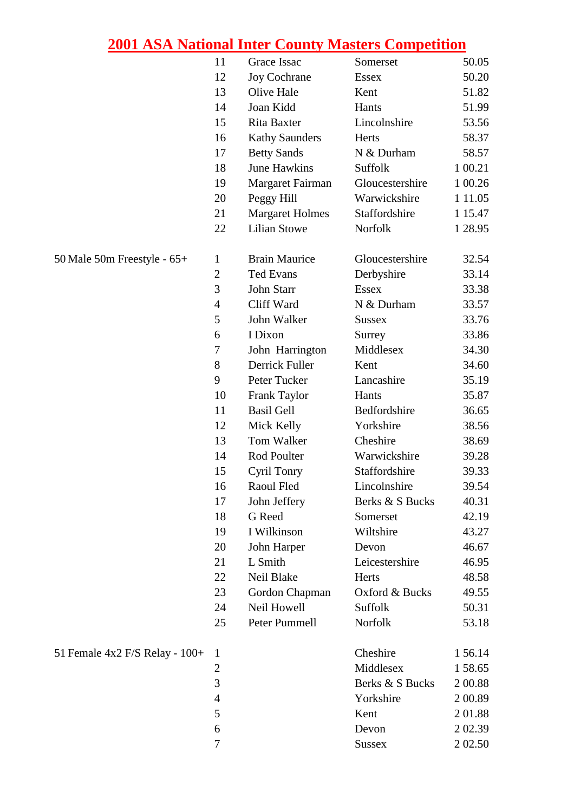|                                    | 11             | Grace Issac            | Somerset        | 50.05      |
|------------------------------------|----------------|------------------------|-----------------|------------|
|                                    | 12             | <b>Joy Cochrane</b>    | <b>Essex</b>    | 50.20      |
|                                    | 13             | Olive Hale             | Kent            | 51.82      |
|                                    | 14             | Joan Kidd              | Hants           | 51.99      |
|                                    | 15             | Rita Baxter            | Lincolnshire    | 53.56      |
|                                    | 16             | <b>Kathy Saunders</b>  | Herts           | 58.37      |
|                                    | 17             | <b>Betty Sands</b>     | N & Durham      | 58.57      |
|                                    | 18             | <b>June Hawkins</b>    | Suffolk         | 1 00.21    |
|                                    | 19             | Margaret Fairman       | Gloucestershire | 1 00.26    |
|                                    | 20             | Peggy Hill             | Warwickshire    | 1 1 1 .0 5 |
|                                    | 21             | <b>Margaret Holmes</b> | Staffordshire   | 1 15.47    |
|                                    | 22             | <b>Lilian Stowe</b>    | Norfolk         | 1 28.95    |
| 50 Male 50m Freestyle - 65+        | $\mathbf{1}$   | <b>Brain Maurice</b>   | Gloucestershire | 32.54      |
|                                    | $\mathfrak{2}$ | <b>Ted Evans</b>       | Derbyshire      | 33.14      |
|                                    | 3              | John Starr             | <b>Essex</b>    | 33.38      |
|                                    | $\overline{4}$ | Cliff Ward             | N & Durham      | 33.57      |
|                                    | 5              | John Walker            | <b>Sussex</b>   | 33.76      |
|                                    | 6              | I Dixon                | Surrey          | 33.86      |
|                                    | 7              | John Harrington        | Middlesex       | 34.30      |
|                                    | 8              | Derrick Fuller         | Kent            | 34.60      |
|                                    | 9              | Peter Tucker           | Lancashire      | 35.19      |
|                                    | 10             | Frank Taylor           | Hants           | 35.87      |
|                                    | 11             | <b>Basil Gell</b>      | Bedfordshire    | 36.65      |
|                                    | 12             | Mick Kelly             | Yorkshire       | 38.56      |
|                                    | 13             | Tom Walker             | Cheshire        | 38.69      |
|                                    | 14             | Rod Poulter            | Warwickshire    | 39.28      |
|                                    | 15             | Cyril Tonry            | Staffordshire   | 39.33      |
|                                    | 16             | Raoul Fled             | Lincolnshire    | 39.54      |
|                                    | 17             | John Jeffery           | Berks & S Bucks | 40.31      |
|                                    | 18             | G Reed                 | Somerset        | 42.19      |
|                                    | 19             | I Wilkinson            | Wiltshire       | 43.27      |
|                                    | 20             | John Harper            | Devon           | 46.67      |
|                                    | 21             | L Smith                | Leicestershire  | 46.95      |
|                                    | 22             | Neil Blake             | Herts           | 48.58      |
|                                    | 23             | Gordon Chapman         | Oxford & Bucks  | 49.55      |
|                                    | 24             | Neil Howell            | Suffolk         | 50.31      |
|                                    | 25             | Peter Pummell          | Norfolk         | 53.18      |
| 51 Female $4x2$ F/S Relay - $100+$ | $\mathbf{1}$   |                        | Cheshire        | 1 56.14    |
|                                    | $\overline{2}$ |                        | Middlesex       | 158.65     |
|                                    | 3              |                        | Berks & S Bucks | 2 00.88    |
|                                    | $\overline{4}$ |                        | Yorkshire       | 2 00.89    |
|                                    | 5              |                        | Kent            | 201.88     |
|                                    | 6              |                        | Devon           | 2 0 2.39   |
|                                    | 7              |                        | <b>Sussex</b>   | 2 02.50    |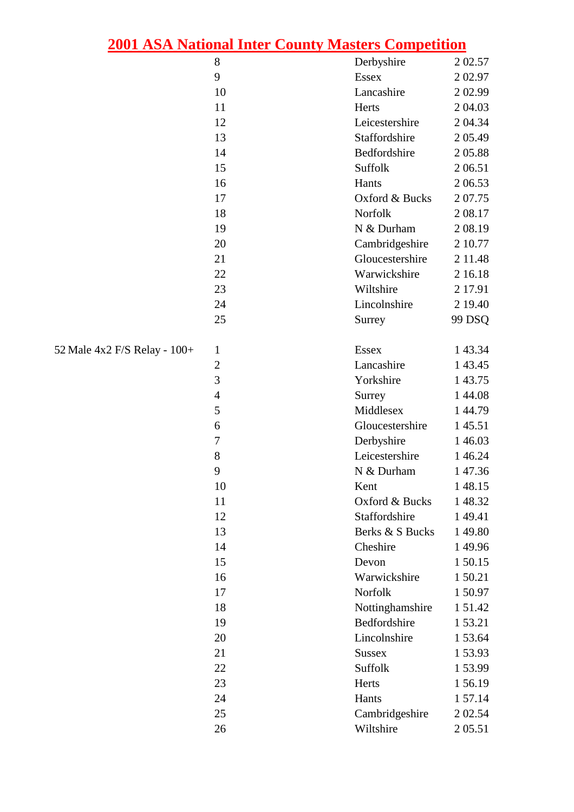|                              | 2001 ASA National Inter County Masters Competition |                 |          |
|------------------------------|----------------------------------------------------|-----------------|----------|
|                              | 8                                                  | Derbyshire      | 2 0 2.57 |
|                              | 9                                                  | Essex           | 2 0 2.97 |
|                              | 10                                                 | Lancashire      | 2 0 2.99 |
|                              | 11                                                 | Herts           | 2 04.03  |
|                              | 12                                                 | Leicestershire  | 2 04.34  |
|                              | 13                                                 | Staffordshire   | 205.49   |
|                              | 14                                                 | Bedfordshire    | 205.88   |
|                              | 15                                                 | Suffolk         | 2 06.51  |
|                              | 16                                                 | Hants           | 2 06.53  |
|                              | 17                                                 | Oxford & Bucks  | 207.75   |
|                              | 18                                                 | Norfolk         | 2 08.17  |
|                              | 19                                                 | N & Durham      | 2 08.19  |
|                              | 20                                                 | Cambridgeshire  | 2 10.77  |
|                              | 21                                                 | Gloucestershire | 2 11.48  |
|                              | 22                                                 | Warwickshire    | 2 16.18  |
|                              | 23                                                 | Wiltshire       | 2 17.91  |
|                              | 24                                                 | Lincolnshire    | 2 19.40  |
|                              | 25                                                 | Surrey          | 99 DSQ   |
| 52 Male 4x2 F/S Relay - 100+ | 1                                                  | Essex           | 1 43.34  |
|                              | $\overline{c}$                                     | Lancashire      | 1 43.45  |
|                              | 3                                                  | Yorkshire       | 1 43.75  |
|                              | $\overline{4}$                                     | Surrey          | 1 44.08  |
|                              | 5                                                  | Middlesex       | 1 44.79  |
|                              | 6                                                  | Gloucestershire | 145.51   |
|                              | $\overline{7}$                                     | Derbyshire      | 1 46.03  |
|                              | 8                                                  | Leicestershire  | 1 46.24  |
|                              | 9                                                  | N & Durham      | 147.36   |
|                              | 10                                                 | Kent            | 148.15   |
|                              | 11                                                 | Oxford & Bucks  | 148.32   |
|                              | 12                                                 | Staffordshire   | 149.41   |
|                              | 13                                                 | Berks & S Bucks | 149.80   |
|                              | 14                                                 | Cheshire        | 149.96   |
|                              | 15                                                 | Devon           | 150.15   |
|                              | 16                                                 | Warwickshire    | 150.21   |
|                              | 17                                                 | Norfolk         | 150.97   |
|                              | 18                                                 | Nottinghamshire | 1 51.42  |
|                              | 19                                                 | Bedfordshire    | 1 53.21  |
|                              | 20                                                 | Lincolnshire    | 153.64   |
|                              | 21                                                 | <b>Sussex</b>   | 1 53.93  |
|                              | 22                                                 | Suffolk         | 153.99   |
|                              | 23                                                 | Herts           | 156.19   |
|                              | 24                                                 | Hants           | 1 57.14  |
|                              | 25                                                 | Cambridgeshire  | 2 02.54  |

26 Wiltshire 2 05.51

- $52$  Male  $4x$ <sup>2</sup>
	-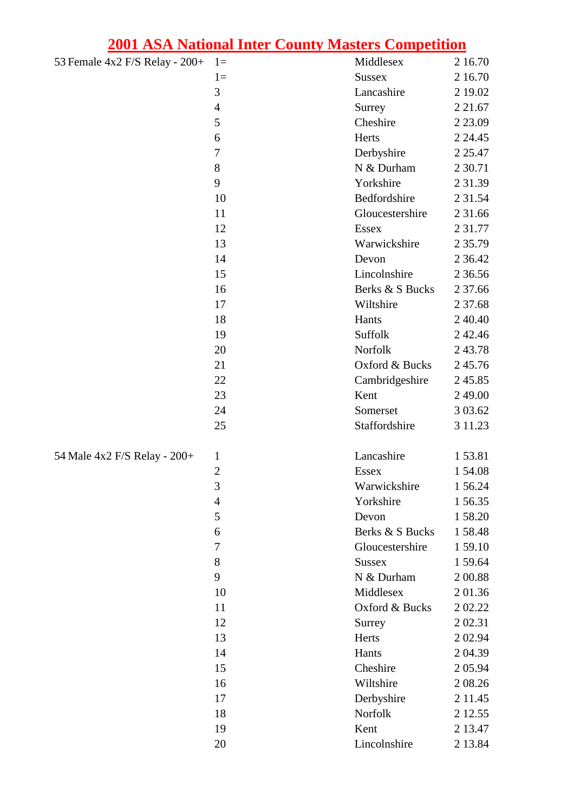| 53 Female 4x2 F/S Relay - 200+ | $1 =$          | Middlesex       | 2 16.70     |
|--------------------------------|----------------|-----------------|-------------|
|                                | $1=$           | <b>Sussex</b>   | 2 16.70     |
|                                | 3              | Lancashire      | 2 19.02     |
|                                | $\overline{4}$ | Surrey          | 2 2 1 .67   |
|                                | 5              | Cheshire        | 2 2 3 .09   |
|                                | 6              | Herts           | 2 24.45     |
|                                | $\tau$         | Derbyshire      | 2 2 5 .47   |
|                                | 8              | N & Durham      | 2 3 0.71    |
|                                | 9              | Yorkshire       | 2 3 1 . 3 9 |
|                                | 10             | Bedfordshire    | 2 3 1 .5 4  |
|                                | 11             | Gloucestershire | 2 31.66     |
|                                | 12             | Essex           | 2 3 1 . 7 7 |
|                                | 13             | Warwickshire    | 2 3 5 . 7 9 |
|                                | 14             | Devon           | 2 3 6.4 2   |
|                                | 15             | Lincolnshire    | 2 3 6 .5 6  |
|                                | 16             | Berks & S Bucks | 2 37.66     |
|                                | 17             | Wiltshire       | 2 37.68     |
|                                | 18             | Hants           | 2 4 0 4 0   |
|                                | 19             | Suffolk         | 2 4 2.46    |
|                                | 20             | Norfolk         | 243.78      |
|                                | 21             | Oxford & Bucks  | 245.76      |
|                                | 22             | Cambridgeshire  | 245.85      |
|                                | 23             | Kent            | 2 49.00     |
|                                | 24             | Somerset        | 3 03.62     |
|                                | 25             | Staffordshire   | 3 11.23     |
| 54 Male 4x2 F/S Relay - 200+   | $\mathbf{1}$   | Lancashire      | 153.81      |
|                                | $\overline{c}$ | <b>Essex</b>    | 154.08      |
|                                | 3              | Warwickshire    | 1 56.24     |
|                                | $\overline{4}$ | Yorkshire       | 156.35      |
|                                | 5              | Devon           | 158.20      |
|                                | 6              | Berks & S Bucks | 158.48      |
|                                | 7              | Gloucestershire | 159.10      |
|                                | 8              | <b>Sussex</b>   | 159.64      |
|                                | 9              | N & Durham      | 2 00.88     |
|                                | 10             | Middlesex       | 201.36      |
|                                | 11             | Oxford & Bucks  | 2 02.22     |
|                                | 12             | Surrey          | 2 0 2.31    |
|                                | 13             | Herts           | 2 0 2.94    |
|                                | 14             | Hants           | 2 04.39     |
|                                | 15             | Cheshire        | 2 05.94     |
|                                | 16             | Wiltshire       | 2 08.26     |
|                                | 17             | Derbyshire      | 2 1 1 . 4 5 |
|                                | 18             | Norfolk         | 2 12.55     |
|                                | 19             | Kent            | 2 13.47     |
|                                | 20             | Lincolnshire    | 2 13.84     |